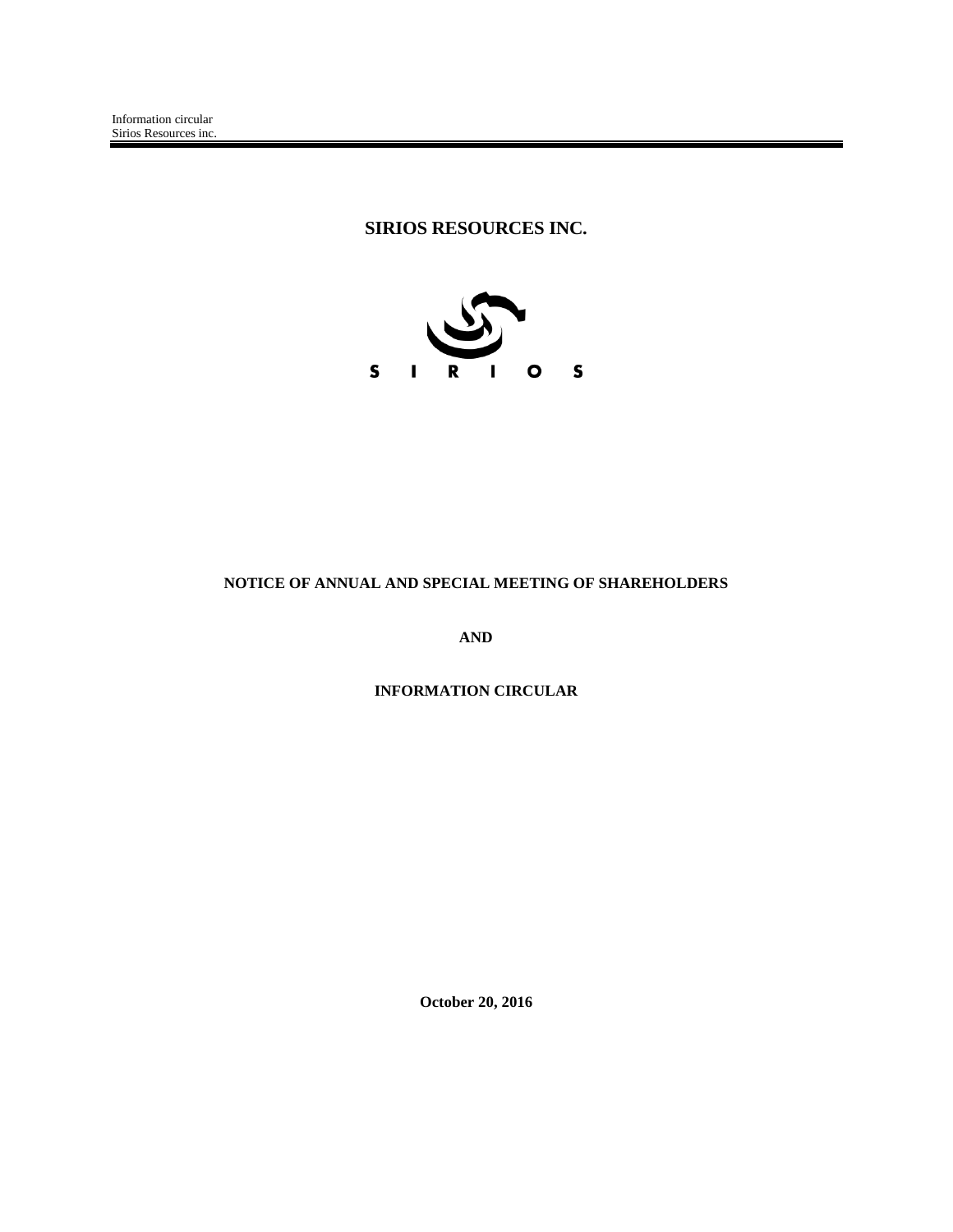# **SIRIOS RESOURCES INC.**



# **NOTICE OF ANNUAL AND SPECIAL MEETING OF SHAREHOLDERS**

**AND**

**INFORMATION CIRCULAR**

**October 20, 2016**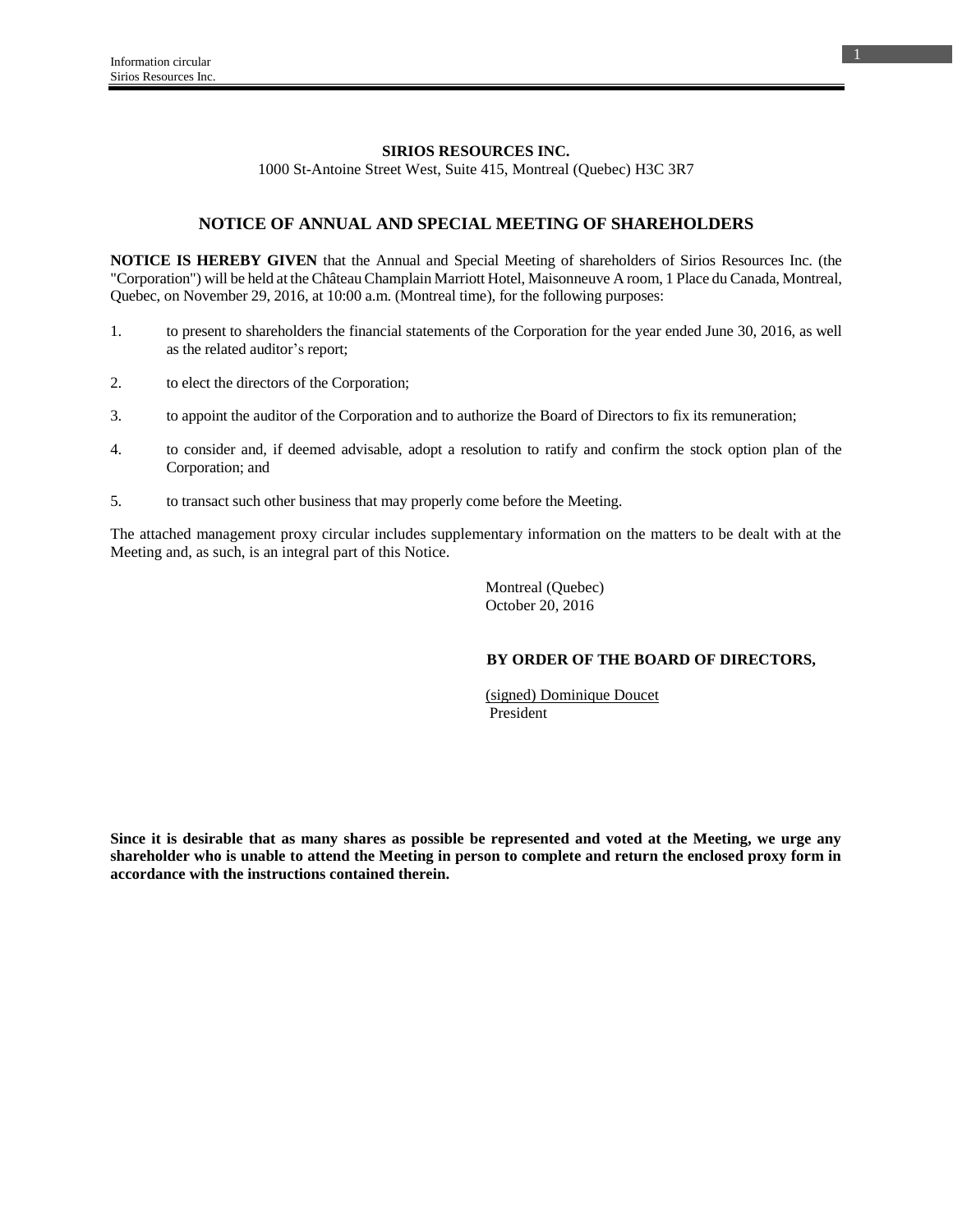### **SIRIOS RESOURCES INC.**

1000 St-Antoine Street West, Suite 415, Montreal (Quebec) H3C 3R7

## **NOTICE OF ANNUAL AND SPECIAL MEETING OF SHAREHOLDERS**

**NOTICE IS HEREBY GIVEN** that the Annual and Special Meeting of shareholders of Sirios Resources Inc. (the "Corporation") will be held at the Château Champlain Marriott Hotel, Maisonneuve A room, 1 Place du Canada, Montreal, Quebec, on November 29, 2016, at 10:00 a.m. (Montreal time), for the following purposes:

- 1. to present to shareholders the financial statements of the Corporation for the year ended June 30, 2016, as well as the related auditor's report;
- 2. to elect the directors of the Corporation;
- 3. to appoint the auditor of the Corporation and to authorize the Board of Directors to fix its remuneration;
- 4. to consider and, if deemed advisable, adopt a resolution to ratify and confirm the stock option plan of the Corporation; and
- 5. to transact such other business that may properly come before the Meeting.

The attached management proxy circular includes supplementary information on the matters to be dealt with at the Meeting and, as such, is an integral part of this Notice.

> Montreal (Quebec) October 20, 2016

## **BY ORDER OF THE BOARD OF DIRECTORS,**

 (signed) Dominique Doucet President

**Since it is desirable that as many shares as possible be represented and voted at the Meeting, we urge any shareholder who is unable to attend the Meeting in person to complete and return the enclosed proxy form in accordance with the instructions contained therein.**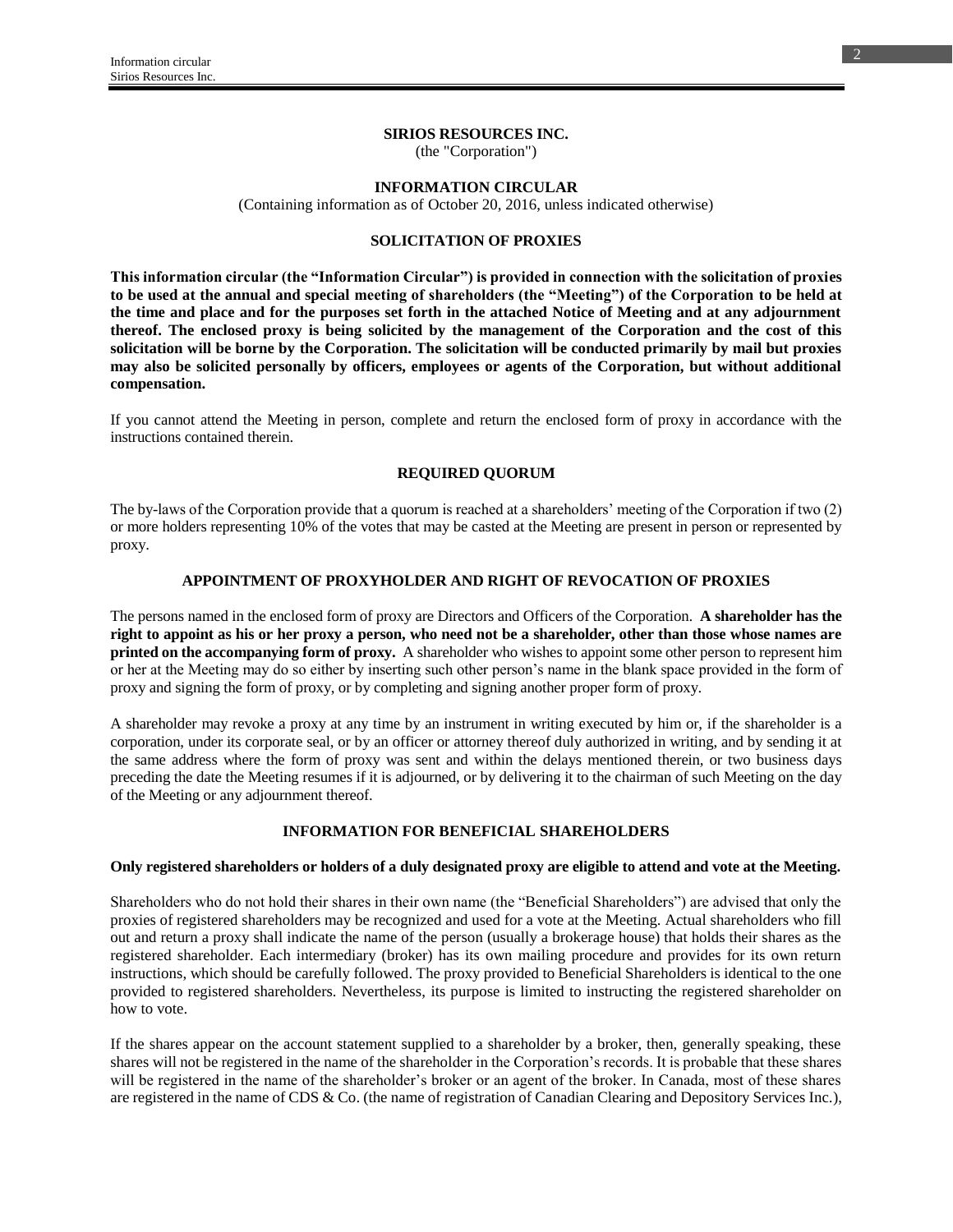#### **SIRIOS RESOURCES INC.**

(the "Corporation")

**INFORMATION CIRCULAR**

(Containing information as of October 20, 2016, unless indicated otherwise)

#### **SOLICITATION OF PROXIES**

**This information circular (the "Information Circular") is provided in connection with the solicitation of proxies to be used at the annual and special meeting of shareholders (the "Meeting") of the Corporation to be held at the time and place and for the purposes set forth in the attached Notice of Meeting and at any adjournment thereof. The enclosed proxy is being solicited by the management of the Corporation and the cost of this solicitation will be borne by the Corporation. The solicitation will be conducted primarily by mail but proxies may also be solicited personally by officers, employees or agents of the Corporation, but without additional compensation.**

If you cannot attend the Meeting in person, complete and return the enclosed form of proxy in accordance with the instructions contained therein.

### **REQUIRED QUORUM**

The by-laws of the Corporation provide that a quorum is reached at a shareholders' meeting of the Corporation if two (2) or more holders representing 10% of the votes that may be casted at the Meeting are present in person or represented by proxy.

#### **APPOINTMENT OF PROXYHOLDER AND RIGHT OF REVOCATION OF PROXIES**

The persons named in the enclosed form of proxy are Directors and Officers of the Corporation. **A shareholder has the right to appoint as his or her proxy a person, who need not be a shareholder, other than those whose names are printed on the accompanying form of proxy.** A shareholder who wishes to appoint some other person to represent him or her at the Meeting may do so either by inserting such other person's name in the blank space provided in the form of proxy and signing the form of proxy, or by completing and signing another proper form of proxy.

A shareholder may revoke a proxy at any time by an instrument in writing executed by him or, if the shareholder is a corporation, under its corporate seal, or by an officer or attorney thereof duly authorized in writing, and by sending it at the same address where the form of proxy was sent and within the delays mentioned therein, or two business days preceding the date the Meeting resumes if it is adjourned, or by delivering it to the chairman of such Meeting on the day of the Meeting or any adjournment thereof.

### **INFORMATION FOR BENEFICIAL SHAREHOLDERS**

#### **Only registered shareholders or holders of a duly designated proxy are eligible to attend and vote at the Meeting.**

Shareholders who do not hold their shares in their own name (the "Beneficial Shareholders") are advised that only the proxies of registered shareholders may be recognized and used for a vote at the Meeting. Actual shareholders who fill out and return a proxy shall indicate the name of the person (usually a brokerage house) that holds their shares as the registered shareholder. Each intermediary (broker) has its own mailing procedure and provides for its own return instructions, which should be carefully followed. The proxy provided to Beneficial Shareholders is identical to the one provided to registered shareholders. Nevertheless, its purpose is limited to instructing the registered shareholder on how to vote.

If the shares appear on the account statement supplied to a shareholder by a broker, then, generally speaking, these shares will not be registered in the name of the shareholder in the Corporation's records. It is probable that these shares will be registered in the name of the shareholder's broker or an agent of the broker. In Canada, most of these shares are registered in the name of CDS & Co. (the name of registration of Canadian Clearing and Depository Services Inc.),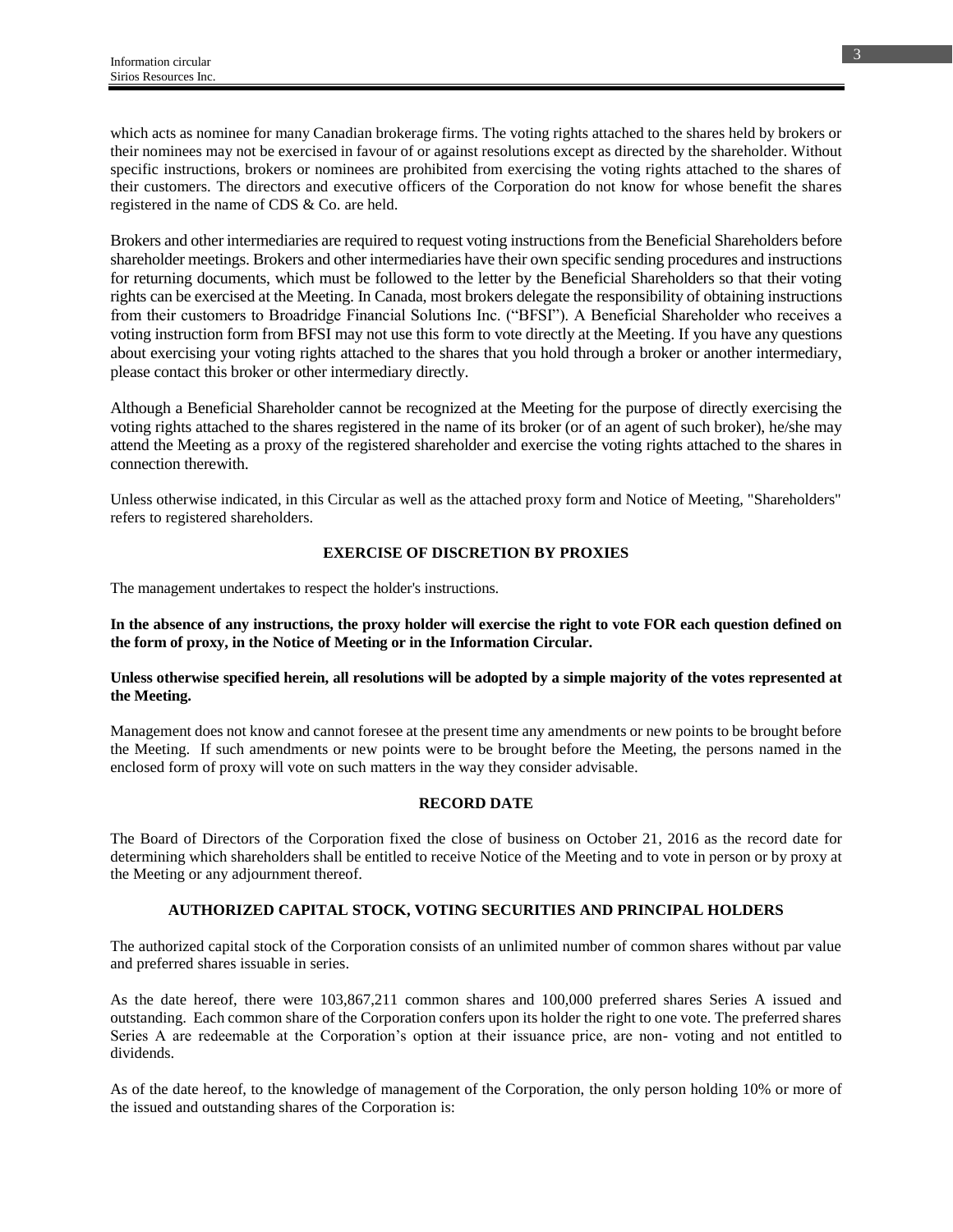which acts as nominee for many Canadian brokerage firms. The voting rights attached to the shares held by brokers or their nominees may not be exercised in favour of or against resolutions except as directed by the shareholder. Without specific instructions, brokers or nominees are prohibited from exercising the voting rights attached to the shares of their customers. The directors and executive officers of the Corporation do not know for whose benefit the shares registered in the name of CDS & Co. are held.

Brokers and other intermediaries are required to request voting instructions from the Beneficial Shareholders before shareholder meetings. Brokers and other intermediaries have their own specific sending procedures and instructions for returning documents, which must be followed to the letter by the Beneficial Shareholders so that their voting rights can be exercised at the Meeting. In Canada, most brokers delegate the responsibility of obtaining instructions from their customers to Broadridge Financial Solutions Inc. ("BFSI"). A Beneficial Shareholder who receives a voting instruction form from BFSI may not use this form to vote directly at the Meeting. If you have any questions about exercising your voting rights attached to the shares that you hold through a broker or another intermediary, please contact this broker or other intermediary directly.

Although a Beneficial Shareholder cannot be recognized at the Meeting for the purpose of directly exercising the voting rights attached to the shares registered in the name of its broker (or of an agent of such broker), he/she may attend the Meeting as a proxy of the registered shareholder and exercise the voting rights attached to the shares in connection therewith.

Unless otherwise indicated, in this Circular as well as the attached proxy form and Notice of Meeting, "Shareholders" refers to registered shareholders.

## **EXERCISE OF DISCRETION BY PROXIES**

The management undertakes to respect the holder's instructions.

## **In the absence of any instructions, the proxy holder will exercise the right to vote FOR each question defined on the form of proxy, in the Notice of Meeting or in the Information Circular.**

### **Unless otherwise specified herein, all resolutions will be adopted by a simple majority of the votes represented at the Meeting.**

Management does not know and cannot foresee at the present time any amendments or new points to be brought before the Meeting. If such amendments or new points were to be brought before the Meeting, the persons named in the enclosed form of proxy will vote on such matters in the way they consider advisable.

### **RECORD DATE**

The Board of Directors of the Corporation fixed the close of business on October 21, 2016 as the record date for determining which shareholders shall be entitled to receive Notice of the Meeting and to vote in person or by proxy at the Meeting or any adjournment thereof.

## **AUTHORIZED CAPITAL STOCK, VOTING SECURITIES AND PRINCIPAL HOLDERS**

The authorized capital stock of the Corporation consists of an unlimited number of common shares without par value and preferred shares issuable in series.

As the date hereof, there were 103,867,211 common shares and 100,000 preferred shares Series A issued and outstanding. Each common share of the Corporation confers upon its holder the right to one vote. The preferred shares Series A are redeemable at the Corporation's option at their issuance price, are non- voting and not entitled to dividends.

As of the date hereof, to the knowledge of management of the Corporation, the only person holding 10% or more of the issued and outstanding shares of the Corporation is: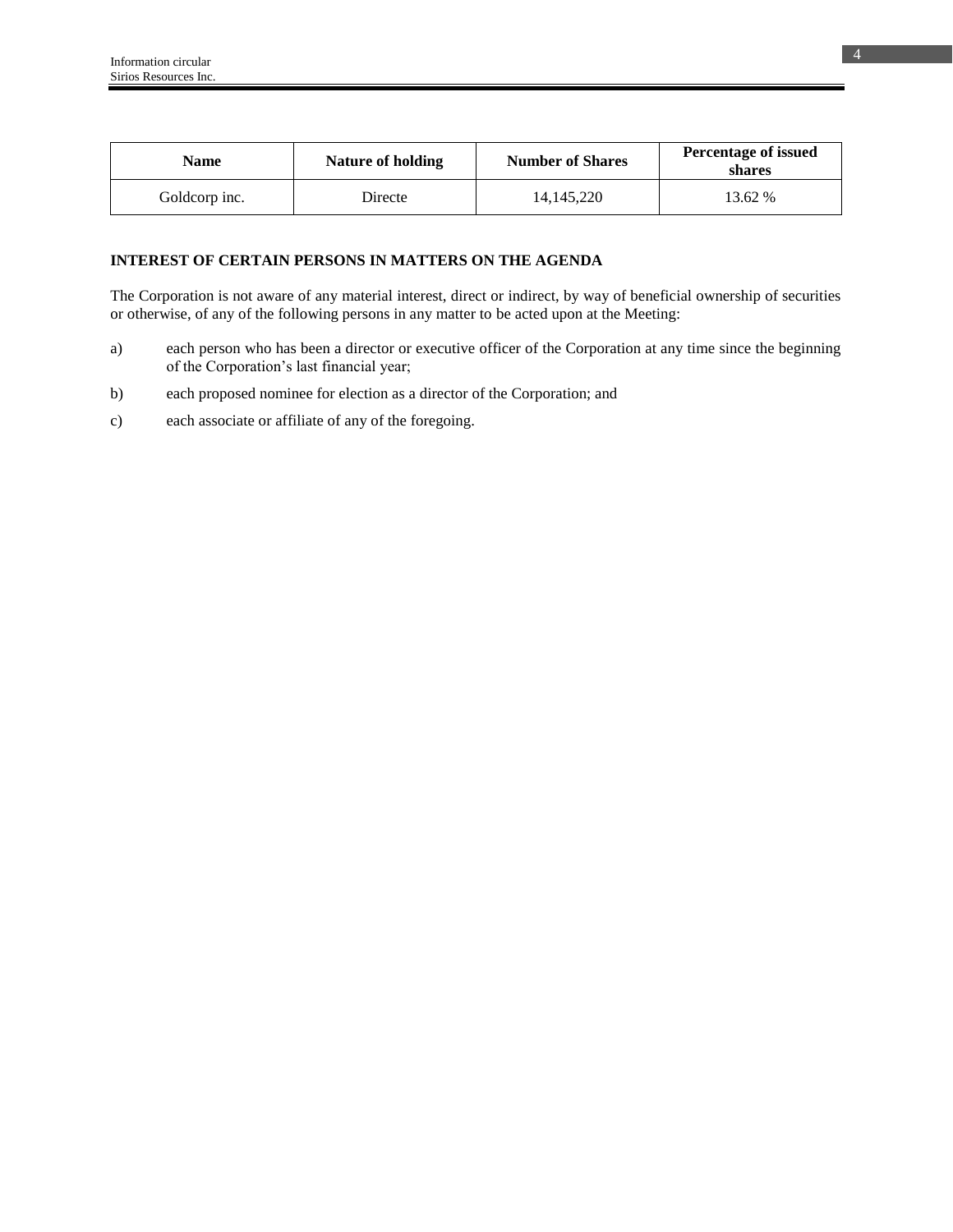| Name          | Nature of holding | <b>Number of Shares</b> | <b>Percentage of issued</b><br>shares |
|---------------|-------------------|-------------------------|---------------------------------------|
| Goldcorp inc. | Directe           | 14.145.220              | 13.62 %                               |

## **INTEREST OF CERTAIN PERSONS IN MATTERS ON THE AGENDA**

The Corporation is not aware of any material interest, direct or indirect, by way of beneficial ownership of securities or otherwise, of any of the following persons in any matter to be acted upon at the Meeting:

- a) each person who has been a director or executive officer of the Corporation at any time since the beginning of the Corporation's last financial year;
- b) each proposed nominee for election as a director of the Corporation; and
- c) each associate or affiliate of any of the foregoing.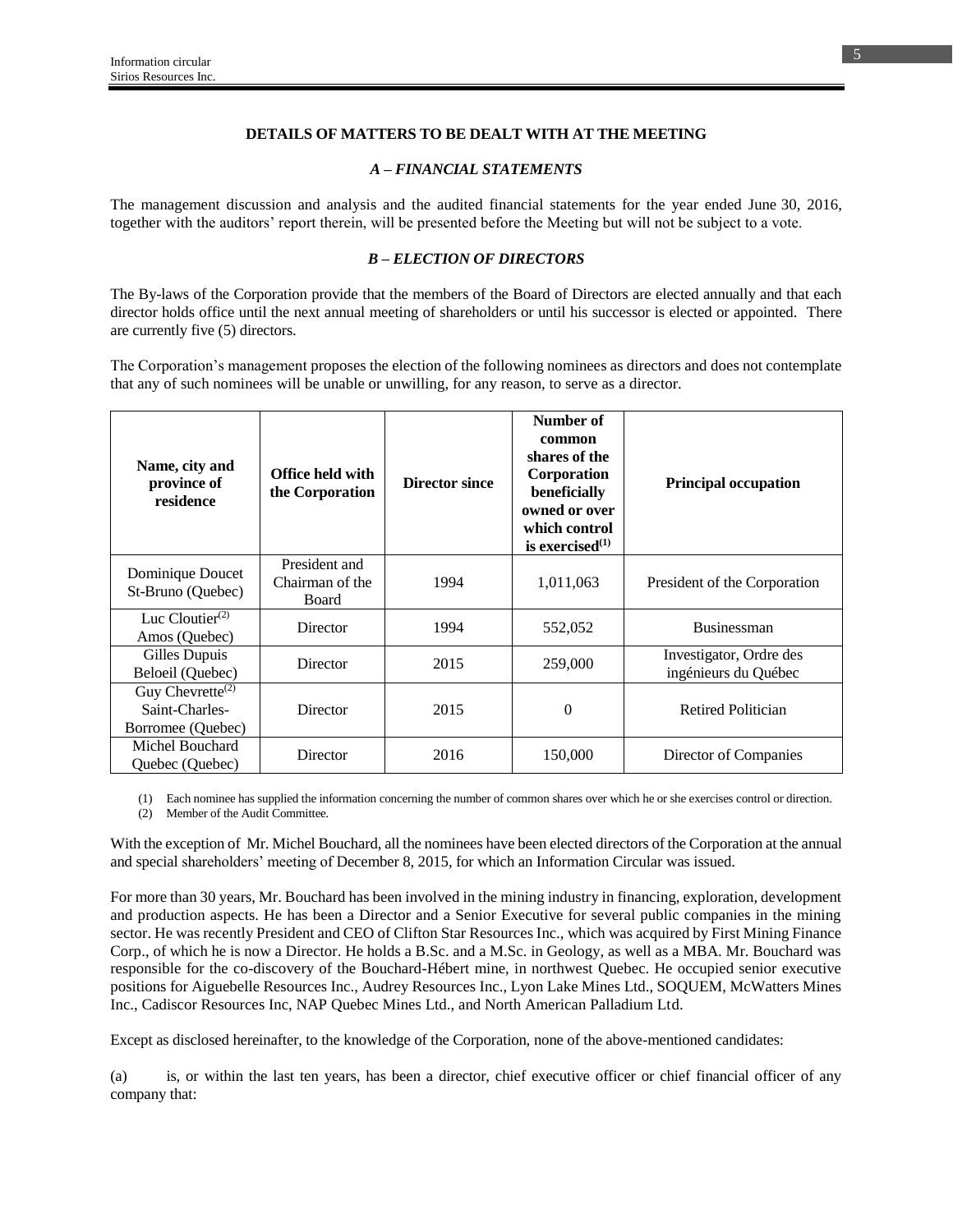## **DETAILS OF MATTERS TO BE DEALT WITH AT THE MEETING**

### *A – FINANCIAL STATEMENTS*

The management discussion and analysis and the audited financial statements for the year ended June 30, 2016, together with the auditors' report therein, will be presented before the Meeting but will not be subject to a vote.

## *B – ELECTION OF DIRECTORS*

The By-laws of the Corporation provide that the members of the Board of Directors are elected annually and that each director holds office until the next annual meeting of shareholders or until his successor is elected or appointed. There are currently five (5) directors.

The Corporation's management proposes the election of the following nominees as directors and does not contemplate that any of such nominees will be unable or unwilling, for any reason, to serve as a director.

| Name, city and<br>province of<br>residence                                       | Office held with<br>the Corporation              | <b>Director since</b> | Number of<br>common<br>shares of the<br><b>Corporation</b><br>beneficially<br>owned or over<br>which control<br>is exercised $^{(1)}$ | <b>Principal occupation</b>                     |
|----------------------------------------------------------------------------------|--------------------------------------------------|-----------------------|---------------------------------------------------------------------------------------------------------------------------------------|-------------------------------------------------|
| Dominique Doucet<br>St-Bruno (Quebec)                                            | President and<br>Chairman of the<br><b>Board</b> | 1994                  | 1,011,063                                                                                                                             | President of the Corporation                    |
| Luc Cloutier $(2)$<br>Amos (Quebec)                                              | Director                                         | 1994                  | 552,052                                                                                                                               | <b>Businessman</b>                              |
| Gilles Dupuis<br>Beloeil (Quebec)                                                | Director                                         | 2015                  | 259,000                                                                                                                               | Investigator, Ordre des<br>ingénieurs du Québec |
| Guy Chevrette <sup><math>(2)</math></sup><br>Saint-Charles-<br>Borromee (Quebec) | Director                                         | 2015                  | $\boldsymbol{0}$                                                                                                                      | <b>Retired Politician</b>                       |
| Michel Bouchard<br>Quebec (Quebec)                                               | Director                                         | 2016                  | 150,000                                                                                                                               | Director of Companies                           |

(1) Each nominee has supplied the information concerning the number of common shares over which he or she exercises control or direction.

(2) Member of the Audit Committee.

With the exception of Mr. Michel Bouchard, all the nominees have been elected directors of the Corporation at the annual and special shareholders' meeting of December 8, 2015, for which an Information Circular was issued.

For more than 30 years, Mr. Bouchard has been involved in the mining industry in financing, exploration, development and production aspects. He has been a Director and a Senior Executive for several public companies in the mining sector. He was recently President and CEO of Clifton Star Resources Inc., which was acquired by First Mining Finance Corp., of which he is now a Director. He holds a B.Sc. and a M.Sc. in Geology, as well as a MBA. Mr. Bouchard was responsible for the co-discovery of the Bouchard-Hébert mine, in northwest Quebec. He occupied senior executive positions for Aiguebelle Resources Inc., Audrey Resources Inc., Lyon Lake Mines Ltd., SOQUEM, McWatters Mines Inc., Cadiscor Resources Inc, NAP Quebec Mines Ltd., and North American Palladium Ltd.

Except as disclosed hereinafter, to the knowledge of the Corporation, none of the above-mentioned candidates:

(a) is, or within the last ten years, has been a director, chief executive officer or chief financial officer of any company that: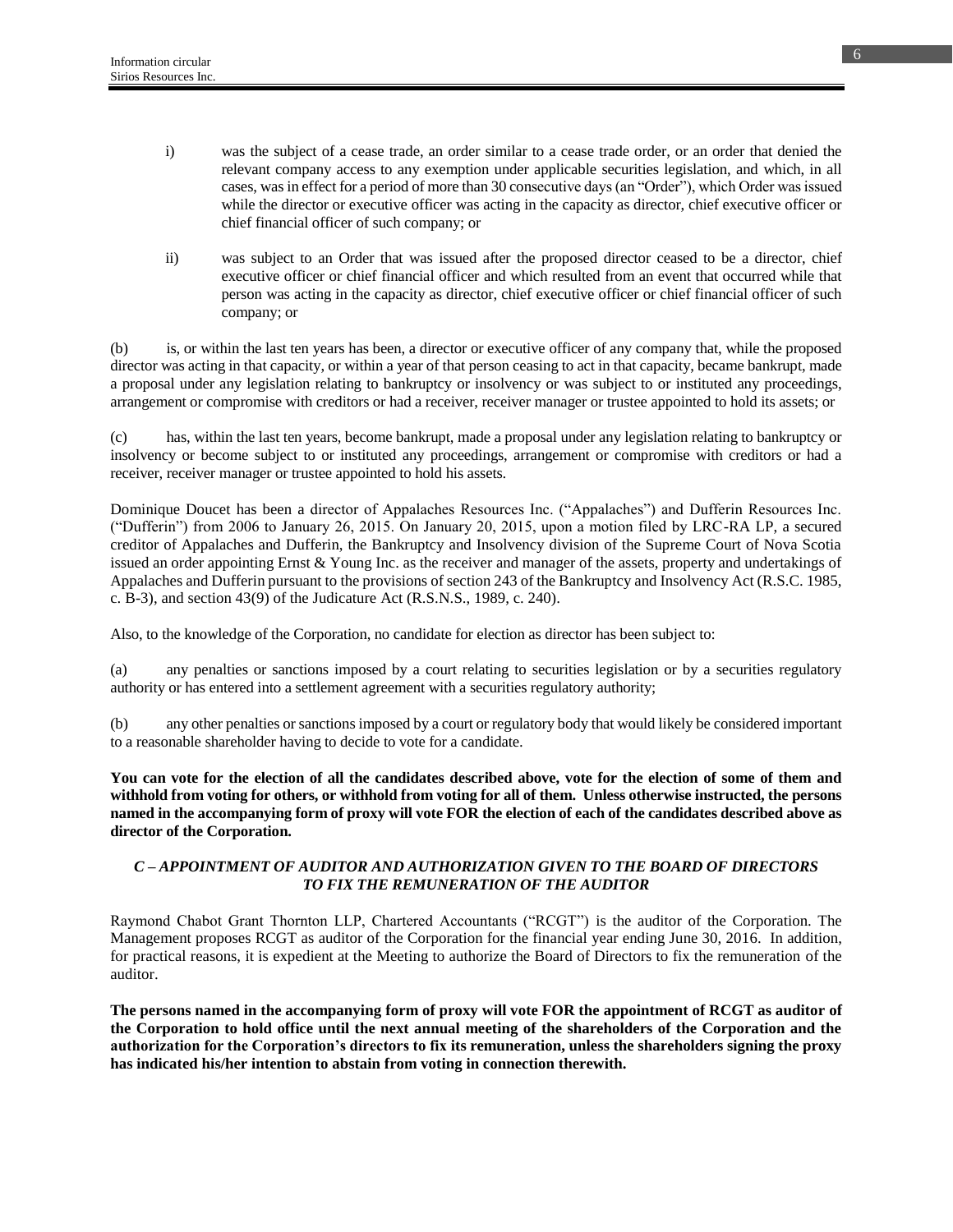- i) was the subject of a cease trade, an order similar to a cease trade order, or an order that denied the relevant company access to any exemption under applicable securities legislation, and which, in all cases, was in effect for a period of more than 30 consecutive days (an "Order"), which Order was issued while the director or executive officer was acting in the capacity as director, chief executive officer or chief financial officer of such company; or
- ii) was subject to an Order that was issued after the proposed director ceased to be a director, chief executive officer or chief financial officer and which resulted from an event that occurred while that person was acting in the capacity as director, chief executive officer or chief financial officer of such company; or

(b) is, or within the last ten years has been, a director or executive officer of any company that, while the proposed director was acting in that capacity, or within a year of that person ceasing to act in that capacity, became bankrupt, made a proposal under any legislation relating to bankruptcy or insolvency or was subject to or instituted any proceedings, arrangement or compromise with creditors or had a receiver, receiver manager or trustee appointed to hold its assets; or

(c) has, within the last ten years, become bankrupt, made a proposal under any legislation relating to bankruptcy or insolvency or become subject to or instituted any proceedings, arrangement or compromise with creditors or had a receiver, receiver manager or trustee appointed to hold his assets.

Dominique Doucet has been a director of Appalaches Resources Inc. ("Appalaches") and Dufferin Resources Inc. ("Dufferin") from 2006 to January 26, 2015. On January 20, 2015, upon a motion filed by LRC-RA LP, a secured creditor of Appalaches and Dufferin, the Bankruptcy and Insolvency division of the Supreme Court of Nova Scotia issued an order appointing Ernst & Young Inc. as the receiver and manager of the assets, property and undertakings of Appalaches and Dufferin pursuant to the provisions of section 243 of the Bankruptcy and Insolvency Act (R.S.C. 1985, c. B-3), and section 43(9) of the Judicature Act (R.S.N.S., 1989, c. 240).

Also, to the knowledge of the Corporation, no candidate for election as director has been subject to:

(a) any penalties or sanctions imposed by a court relating to securities legislation or by a securities regulatory authority or has entered into a settlement agreement with a securities regulatory authority;

(b) any other penalties or sanctions imposed by a court or regulatory body that would likely be considered important to a reasonable shareholder having to decide to vote for a candidate.

**You can vote for the election of all the candidates described above, vote for the election of some of them and withhold from voting for others, or withhold from voting for all of them. Unless otherwise instructed, the persons named in the accompanying form of proxy will vote FOR the election of each of the candidates described above as director of the Corporation.**

## *C – APPOINTMENT OF AUDITOR AND AUTHORIZATION GIVEN TO THE BOARD OF DIRECTORS TO FIX THE REMUNERATION OF THE AUDITOR*

Raymond Chabot Grant Thornton LLP, Chartered Accountants ("RCGT") is the auditor of the Corporation. The Management proposes RCGT as auditor of the Corporation for the financial year ending June 30, 2016. In addition, for practical reasons, it is expedient at the Meeting to authorize the Board of Directors to fix the remuneration of the auditor.

**The persons named in the accompanying form of proxy will vote FOR the appointment of RCGT as auditor of the Corporation to hold office until the next annual meeting of the shareholders of the Corporation and the authorization for the Corporation's directors to fix its remuneration, unless the shareholders signing the proxy has indicated his/her intention to abstain from voting in connection therewith.**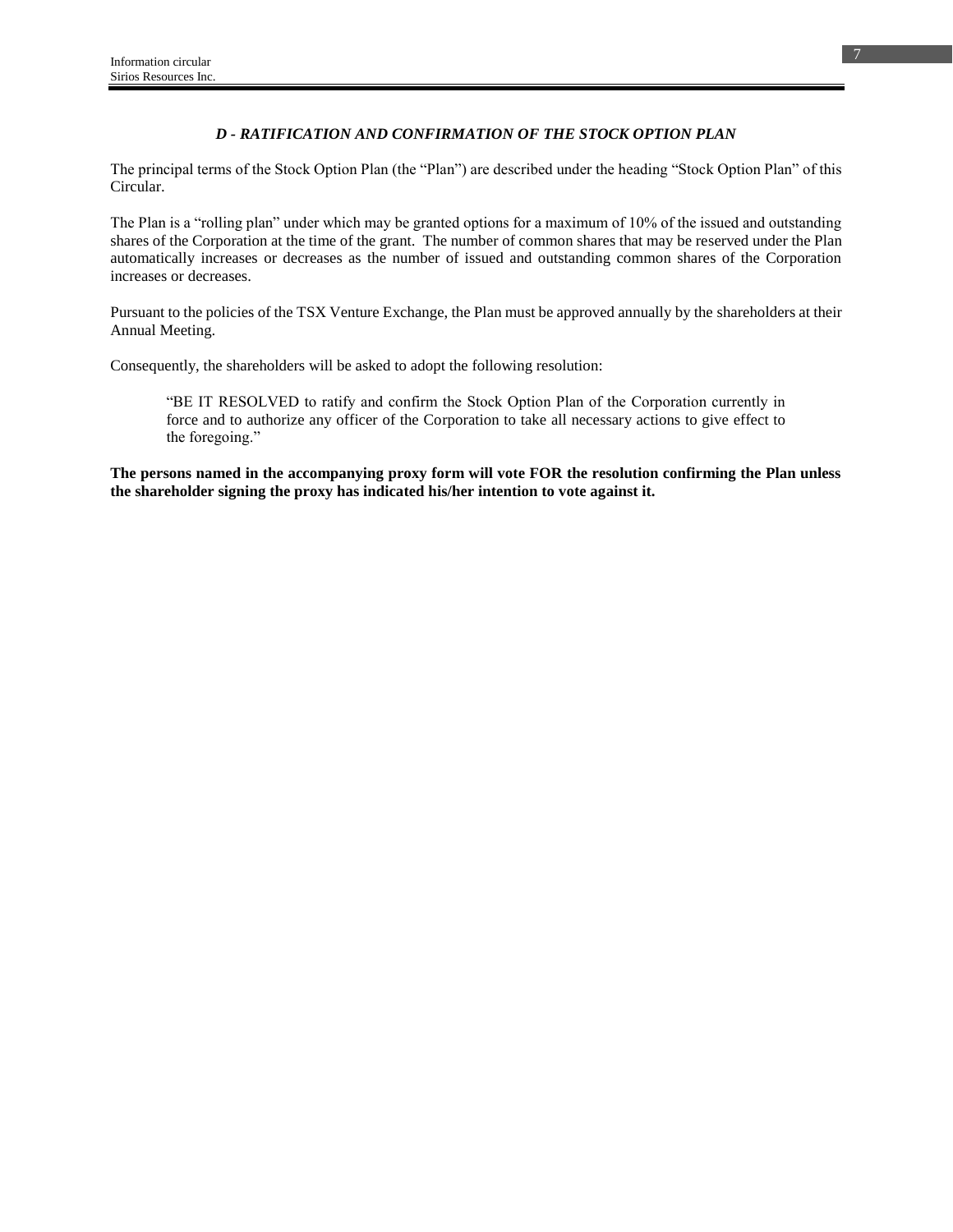## *D - RATIFICATION AND CONFIRMATION OF THE STOCK OPTION PLAN*

The principal terms of the Stock Option Plan (the "Plan") are described under the heading "Stock Option Plan" of this Circular.

The Plan is a "rolling plan" under which may be granted options for a maximum of 10% of the issued and outstanding shares of the Corporation at the time of the grant. The number of common shares that may be reserved under the Plan automatically increases or decreases as the number of issued and outstanding common shares of the Corporation increases or decreases.

Pursuant to the policies of the TSX Venture Exchange, the Plan must be approved annually by the shareholders at their Annual Meeting.

Consequently, the shareholders will be asked to adopt the following resolution:

"BE IT RESOLVED to ratify and confirm the Stock Option Plan of the Corporation currently in force and to authorize any officer of the Corporation to take all necessary actions to give effect to the foregoing."

**The persons named in the accompanying proxy form will vote FOR the resolution confirming the Plan unless the shareholder signing the proxy has indicated his/her intention to vote against it.**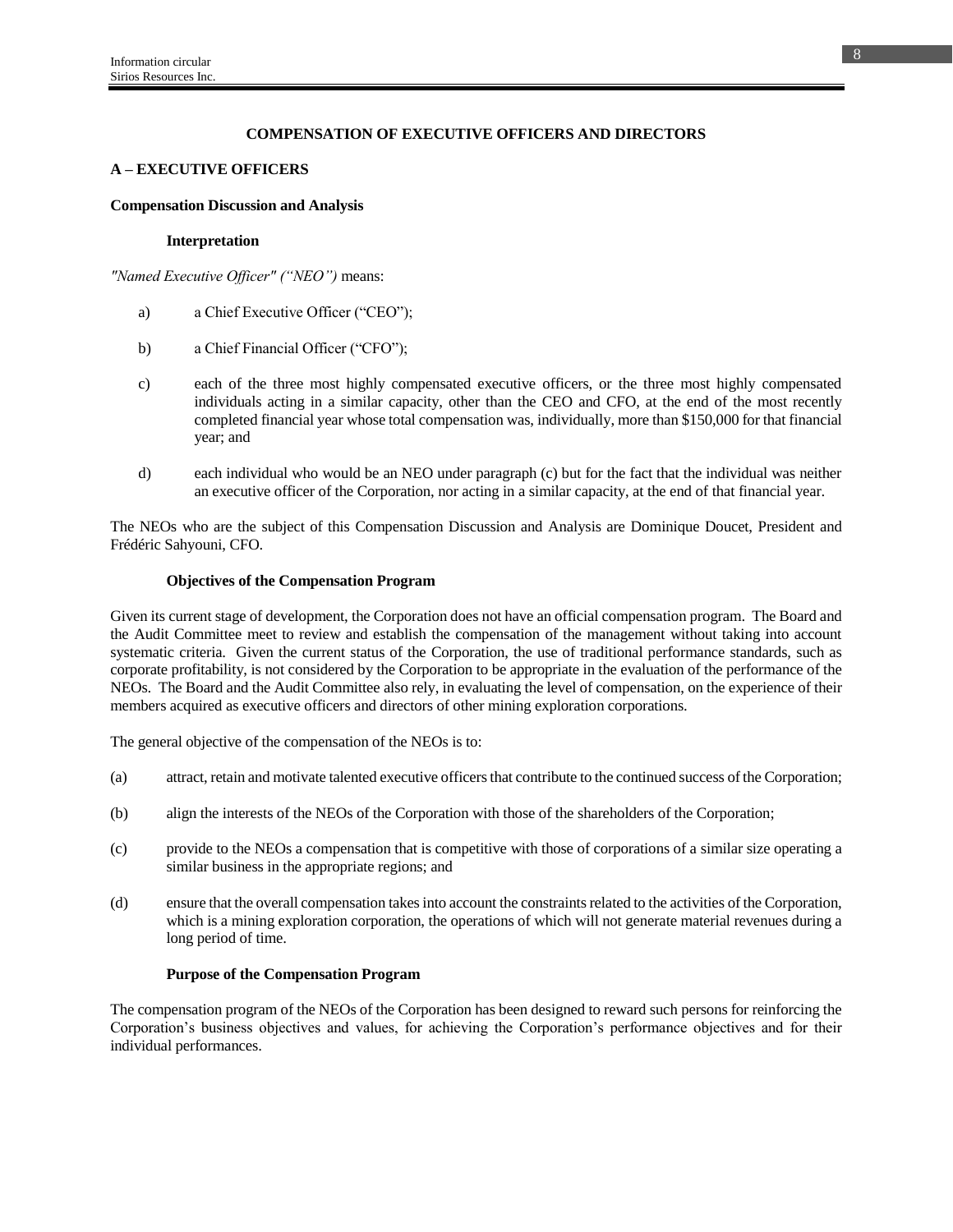## **COMPENSATION OF EXECUTIVE OFFICERS AND DIRECTORS**

### **A – EXECUTIVE OFFICERS**

#### **Compensation Discussion and Analysis**

#### **Interpretation**

*"Named Executive Officer" ("NEO")* means:

- a) a Chief Executive Officer ("CEO");
- b) a Chief Financial Officer ("CFO");
- c) each of the three most highly compensated executive officers, or the three most highly compensated individuals acting in a similar capacity, other than the CEO and CFO, at the end of the most recently completed financial year whose total compensation was, individually, more than \$150,000 for that financial year; and
- d) each individual who would be an NEO under paragraph (c) but for the fact that the individual was neither an executive officer of the Corporation, nor acting in a similar capacity, at the end of that financial year.

The NEOs who are the subject of this Compensation Discussion and Analysis are Dominique Doucet, President and Frédéric Sahyouni, CFO.

### **Objectives of the Compensation Program**

Given its current stage of development, the Corporation does not have an official compensation program. The Board and the Audit Committee meet to review and establish the compensation of the management without taking into account systematic criteria. Given the current status of the Corporation, the use of traditional performance standards, such as corporate profitability, is not considered by the Corporation to be appropriate in the evaluation of the performance of the NEOs. The Board and the Audit Committee also rely, in evaluating the level of compensation, on the experience of their members acquired as executive officers and directors of other mining exploration corporations.

The general objective of the compensation of the NEOs is to:

- (a) attract, retain and motivate talented executive officers that contribute to the continued success of the Corporation;
- (b) align the interests of the NEOs of the Corporation with those of the shareholders of the Corporation;
- (c) provide to the NEOs a compensation that is competitive with those of corporations of a similar size operating a similar business in the appropriate regions; and
- (d) ensure that the overall compensation takes into account the constraints related to the activities of the Corporation, which is a mining exploration corporation, the operations of which will not generate material revenues during a long period of time.

## **Purpose of the Compensation Program**

The compensation program of the NEOs of the Corporation has been designed to reward such persons for reinforcing the Corporation's business objectives and values, for achieving the Corporation's performance objectives and for their individual performances.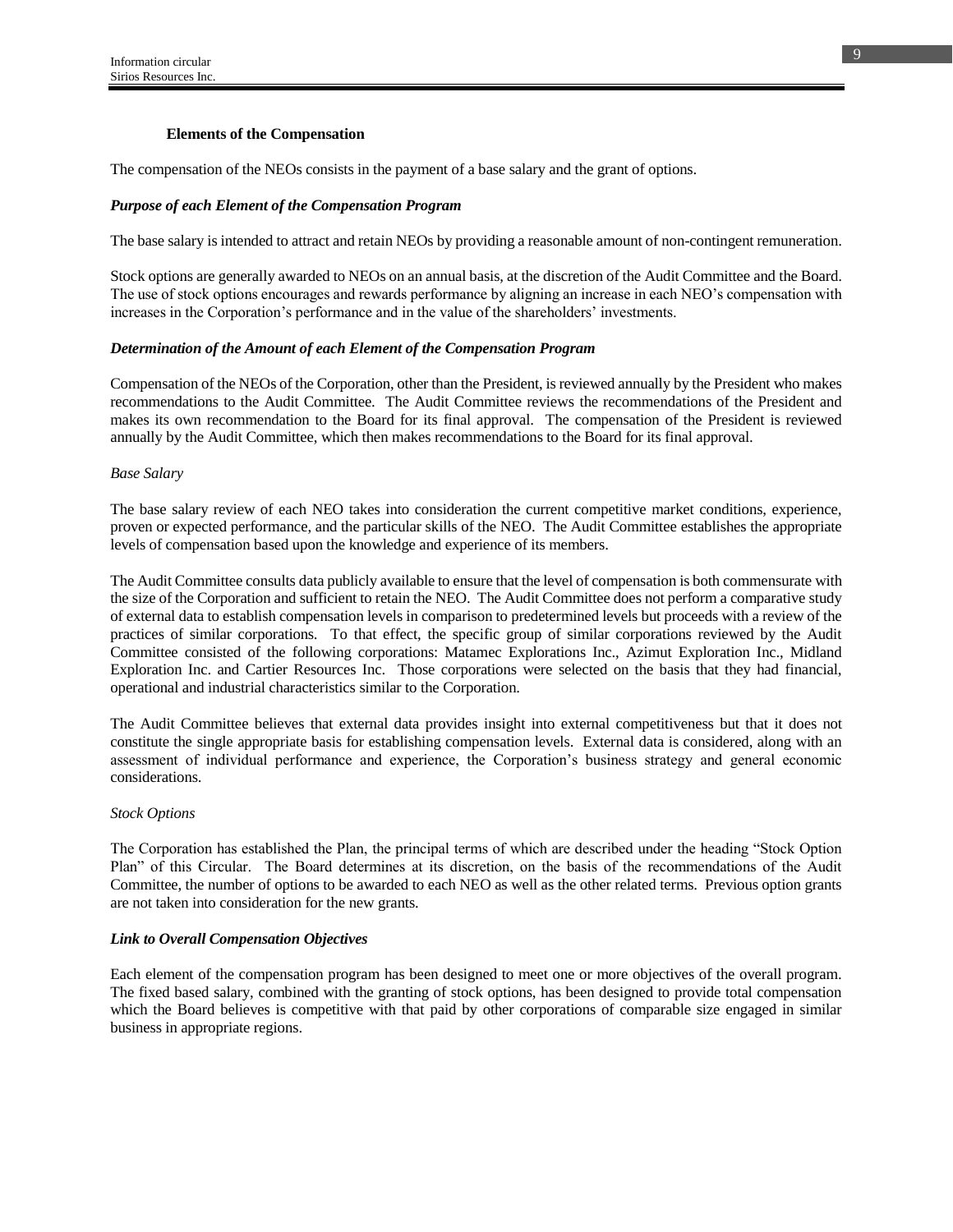### **Elements of the Compensation**

The compensation of the NEOs consists in the payment of a base salary and the grant of options.

### *Purpose of each Element of the Compensation Program*

The base salary is intended to attract and retain NEOs by providing a reasonable amount of non-contingent remuneration.

Stock options are generally awarded to NEOs on an annual basis, at the discretion of the Audit Committee and the Board. The use of stock options encourages and rewards performance by aligning an increase in each NEO's compensation with increases in the Corporation's performance and in the value of the shareholders' investments.

#### *Determination of the Amount of each Element of the Compensation Program*

Compensation of the NEOs of the Corporation, other than the President, is reviewed annually by the President who makes recommendations to the Audit Committee. The Audit Committee reviews the recommendations of the President and makes its own recommendation to the Board for its final approval. The compensation of the President is reviewed annually by the Audit Committee, which then makes recommendations to the Board for its final approval.

#### *Base Salary*

The base salary review of each NEO takes into consideration the current competitive market conditions, experience, proven or expected performance, and the particular skills of the NEO. The Audit Committee establishes the appropriate levels of compensation based upon the knowledge and experience of its members.

The Audit Committee consults data publicly available to ensure that the level of compensation is both commensurate with the size of the Corporation and sufficient to retain the NEO. The Audit Committee does not perform a comparative study of external data to establish compensation levels in comparison to predetermined levels but proceeds with a review of the practices of similar corporations. To that effect, the specific group of similar corporations reviewed by the Audit Committee consisted of the following corporations: Matamec Explorations Inc., Azimut Exploration Inc., Midland Exploration Inc. and Cartier Resources Inc. Those corporations were selected on the basis that they had financial, operational and industrial characteristics similar to the Corporation.

The Audit Committee believes that external data provides insight into external competitiveness but that it does not constitute the single appropriate basis for establishing compensation levels. External data is considered, along with an assessment of individual performance and experience, the Corporation's business strategy and general economic considerations.

#### *Stock Options*

The Corporation has established the Plan, the principal terms of which are described under the heading "Stock Option Plan" of this Circular. The Board determines at its discretion, on the basis of the recommendations of the Audit Committee, the number of options to be awarded to each NEO as well as the other related terms. Previous option grants are not taken into consideration for the new grants.

#### *Link to Overall Compensation Objectives*

Each element of the compensation program has been designed to meet one or more objectives of the overall program. The fixed based salary, combined with the granting of stock options, has been designed to provide total compensation which the Board believes is competitive with that paid by other corporations of comparable size engaged in similar business in appropriate regions.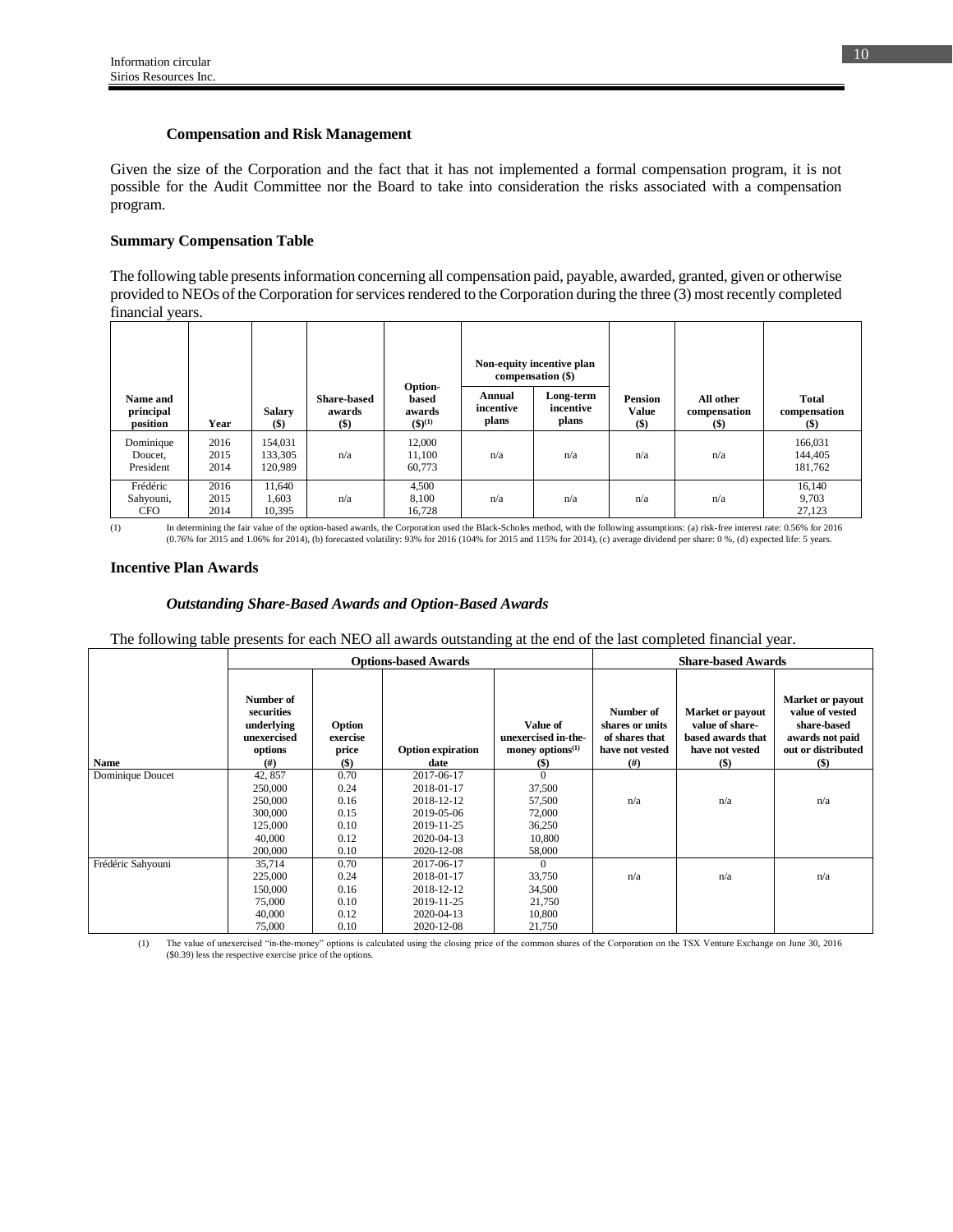#### **Compensation and Risk Management**

Given the size of the Corporation and the fact that it has not implemented a formal compensation program, it is not possible for the Audit Committee nor the Board to take into consideration the risks associated with a compensation program.

### **Summary Compensation Table**

The following table presents information concerning all compensation paid, payable, awarded, granted, given or otherwise provided to NEOs of the Corporation for services rendered to the Corporation during the three (3) most recently completed financial years.

|                                     |                      |                               |                                        |                                           |                              | Non-equity incentive plan<br>compensation (\$) |                                         |                                    |                                |
|-------------------------------------|----------------------|-------------------------------|----------------------------------------|-------------------------------------------|------------------------------|------------------------------------------------|-----------------------------------------|------------------------------------|--------------------------------|
| Name and<br>principal<br>position   | Year                 | <b>Salary</b><br>$($)$        | <b>Share-based</b><br>awards<br>$($ \$ | Option-<br>based<br>awards<br>$(3)^{(1)}$ | Annual<br>incentive<br>plans | Long-term<br>incentive<br>plans                | <b>Pension</b><br><b>Value</b><br>$($)$ | All other<br>compensation<br>$($)$ | Total<br>compensation<br>$($)$ |
| Dominique<br>Doucet,<br>President   | 2016<br>2015<br>2014 | 154.031<br>133,305<br>120,989 | n/a                                    | 12,000<br>11,100<br>60,773                | n/a                          | n/a                                            | n/a                                     | n/a                                | 166,031<br>144,405<br>181,762  |
| Frédéric<br>Sahyouni,<br><b>CFO</b> | 2016<br>2015<br>2014 | 11.640<br>1,603<br>10.395     | n/a                                    | 4,500<br>8,100<br>16,728                  | n/a                          | n/a                                            | n/a                                     | n/a                                | 16,140<br>9,703<br>27,123      |

(1) In determining the fair value of the option-based awards, the Corporation used the Black-Scholes method, with the following assumptions: (a) risk-free interest rate: 0.56% for 2016 (0.76% for 2015 and 1.06% for 2014), (b) forecasted volatility: 93% for 2016 (104% for 2015 and 115% for 2014), (c) average dividend per share: 0 %, (d) expected life: 5 years.

### **Incentive Plan Awards**

#### *Outstanding Share-Based Awards and Option-Based Awards*

The following table presents for each NEO all awards outstanding at the end of the last completed financial year.

|                   |                                                                             |                                        | <b>Options-based Awards</b>      | <b>Share-based Awards</b>                                        |                                                                           |                                                                                      |                                                                                                      |
|-------------------|-----------------------------------------------------------------------------|----------------------------------------|----------------------------------|------------------------------------------------------------------|---------------------------------------------------------------------------|--------------------------------------------------------------------------------------|------------------------------------------------------------------------------------------------------|
| <b>Name</b>       | Number of<br>securities<br>underlying<br>unexercised<br>options<br>$^{(#)}$ | Option<br>exercise<br>price<br>$($ \$) | <b>Option expiration</b><br>date | Value of<br>unexercised in-the-<br>money options $(1)$<br>$(\$)$ | Number of<br>shares or units<br>of shares that<br>have not vested<br>(# ) | Market or payout<br>value of share-<br>based awards that<br>have not vested<br>$($)$ | Market or payout<br>value of vested<br>share-based<br>awards not paid<br>out or distributed<br>$($)$ |
| Dominique Doucet  | 42, 857                                                                     | 0.70                                   | 2017-06-17                       | $\Omega$                                                         |                                                                           |                                                                                      |                                                                                                      |
|                   | 250,000                                                                     | 0.24                                   | 2018-01-17                       | 37,500                                                           |                                                                           |                                                                                      |                                                                                                      |
|                   | 250,000                                                                     | 0.16                                   | 2018-12-12                       | 57,500                                                           | n/a                                                                       | n/a                                                                                  | n/a                                                                                                  |
|                   | 300,000                                                                     | 0.15                                   | 2019-05-06                       | 72,000                                                           |                                                                           |                                                                                      |                                                                                                      |
|                   | 125,000                                                                     | 0.10                                   | 2019-11-25                       | 36,250                                                           |                                                                           |                                                                                      |                                                                                                      |
|                   | 40,000                                                                      | 0.12                                   | 2020-04-13                       | 10,800                                                           |                                                                           |                                                                                      |                                                                                                      |
|                   | 200,000                                                                     | 0.10                                   | 2020-12-08                       | 58,000                                                           |                                                                           |                                                                                      |                                                                                                      |
| Frédéric Sahyouni | 35.714                                                                      | 0.70                                   | 2017-06-17                       | $\Omega$                                                         |                                                                           |                                                                                      |                                                                                                      |
|                   | 225,000                                                                     | 0.24                                   | 2018-01-17                       | 33,750                                                           | n/a                                                                       | n/a                                                                                  | n/a                                                                                                  |
|                   | 150,000                                                                     | 0.16                                   | 2018-12-12                       | 34,500                                                           |                                                                           |                                                                                      |                                                                                                      |
|                   | 75,000                                                                      | 0.10                                   | 2019-11-25                       | 21,750                                                           |                                                                           |                                                                                      |                                                                                                      |
|                   | 40,000                                                                      | 0.12                                   | 2020-04-13                       | 10,800                                                           |                                                                           |                                                                                      |                                                                                                      |
|                   | 75,000                                                                      | 0.10                                   | 2020-12-08                       | 21,750                                                           |                                                                           |                                                                                      |                                                                                                      |

(1) The value of unexercised "in-the-money" options is calculated using the closing price of the common shares of the Corporation on the TSX Venture Exchange on June 30, 2016 (\$0.39) less the respective exercise price of the options.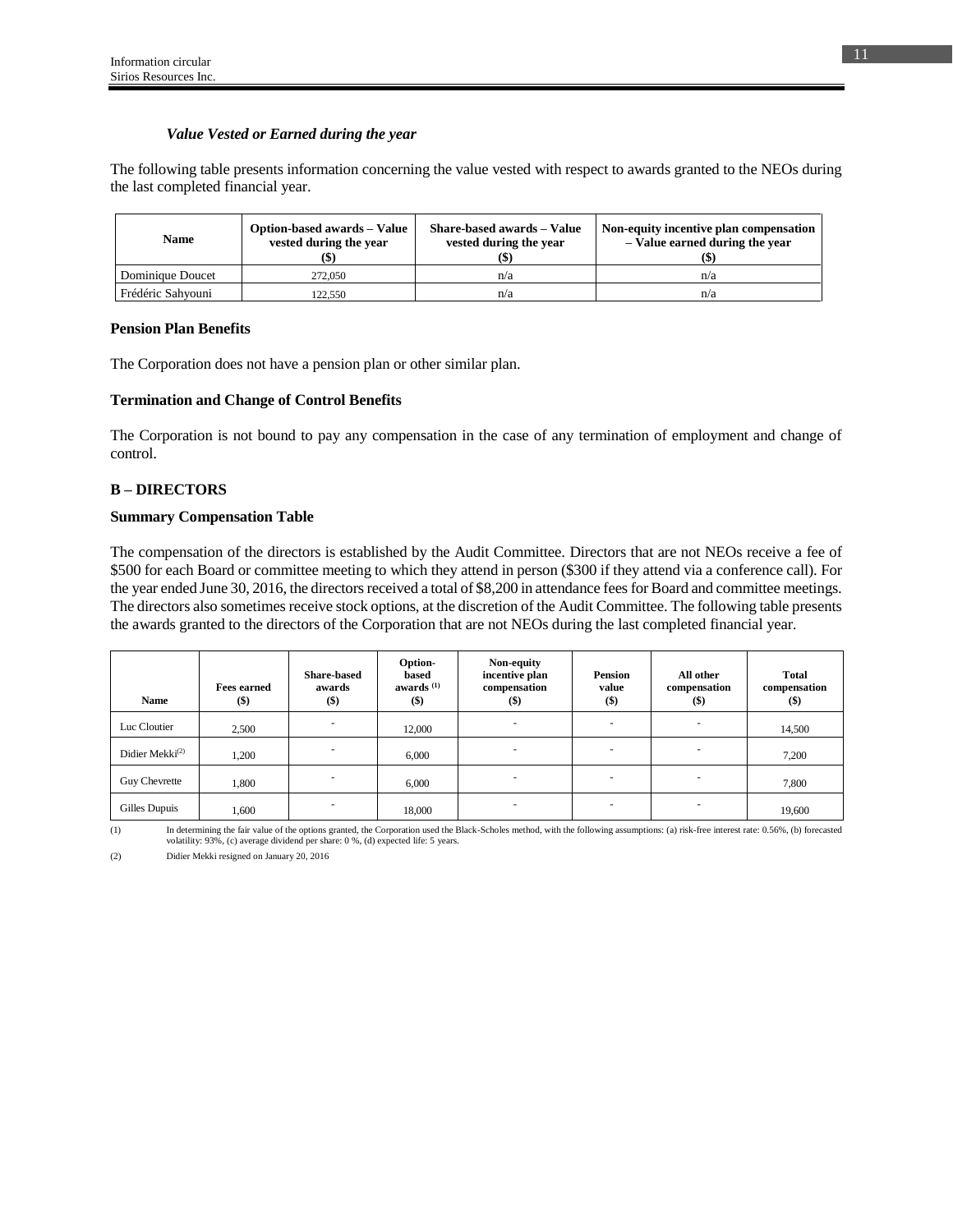### *Value Vested or Earned during the year*

The following table presents information concerning the value vested with respect to awards granted to the NEOs during the last completed financial year.

| Name              | Option-based awards – Value<br>vested during the year | Share-based awards - Value<br>vested during the year | Non-equity incentive plan compensation<br>- Value earned during the year |
|-------------------|-------------------------------------------------------|------------------------------------------------------|--------------------------------------------------------------------------|
| Dominique Doucet  | 272,050                                               | n/a                                                  | n/a                                                                      |
| Frédéric Sahvouni | 122.550                                               | n/a                                                  | n/a                                                                      |

#### **Pension Plan Benefits**

The Corporation does not have a pension plan or other similar plan.

### **Termination and Change of Control Benefits**

The Corporation is not bound to pay any compensation in the case of any termination of employment and change of control.

### **B – DIRECTORS**

#### **Summary Compensation Table**

The compensation of the directors is established by the Audit Committee. Directors that are not NEOs receive a fee of \$500 for each Board or committee meeting to which they attend in person (\$300 if they attend via a conference call). For the year ended June 30, 2016, the directors received a total of \$8,200 in attendance fees for Board and committee meetings. The directors also sometimes receive stock options, at the discretion of the Audit Committee. The following table presents the awards granted to the directors of the Corporation that are not NEOs during the last completed financial year.

| Name                        | <b>Fees earned</b><br>$($ \$) | <b>Share-based</b><br>awards<br>$($ \$ | Option-<br>based<br>awards $(1)$<br>$($)$ | Non-equity<br>incentive plan<br>compensation<br>$($ \$) | <b>Pension</b><br>value<br>$($ \$) | All other<br>compensation<br>$($)$ | <b>Total</b><br>compensation<br>$($ \$) |
|-----------------------------|-------------------------------|----------------------------------------|-------------------------------------------|---------------------------------------------------------|------------------------------------|------------------------------------|-----------------------------------------|
| Luc Cloutier                | 2,500                         | $\sim$                                 | 12,000                                    | $\overline{\phantom{a}}$                                | $\sim$                             |                                    | 14,500                                  |
| Didier Mekki <sup>(2)</sup> | 1,200                         |                                        | 6,000                                     |                                                         | -                                  |                                    | 7,200                                   |
| Guy Chevrette               | 1,800                         |                                        | 6,000                                     |                                                         |                                    |                                    | 7,800                                   |
| Gilles Dupuis               | 1,600                         |                                        | 18,000                                    | -                                                       |                                    |                                    | 19,600                                  |

<sup>(1)</sup> In determining the fair value of the options granted, the Corporation used the Black-Scholes method, with the following assumptions: (a) risk-free interest rate: 0.56%, (b) forecasted volatility: 93%, (c) average dividend per share: 0 %, (d) expected life: 5 years.

(2) Didier Mekki resigned on January 20, 2016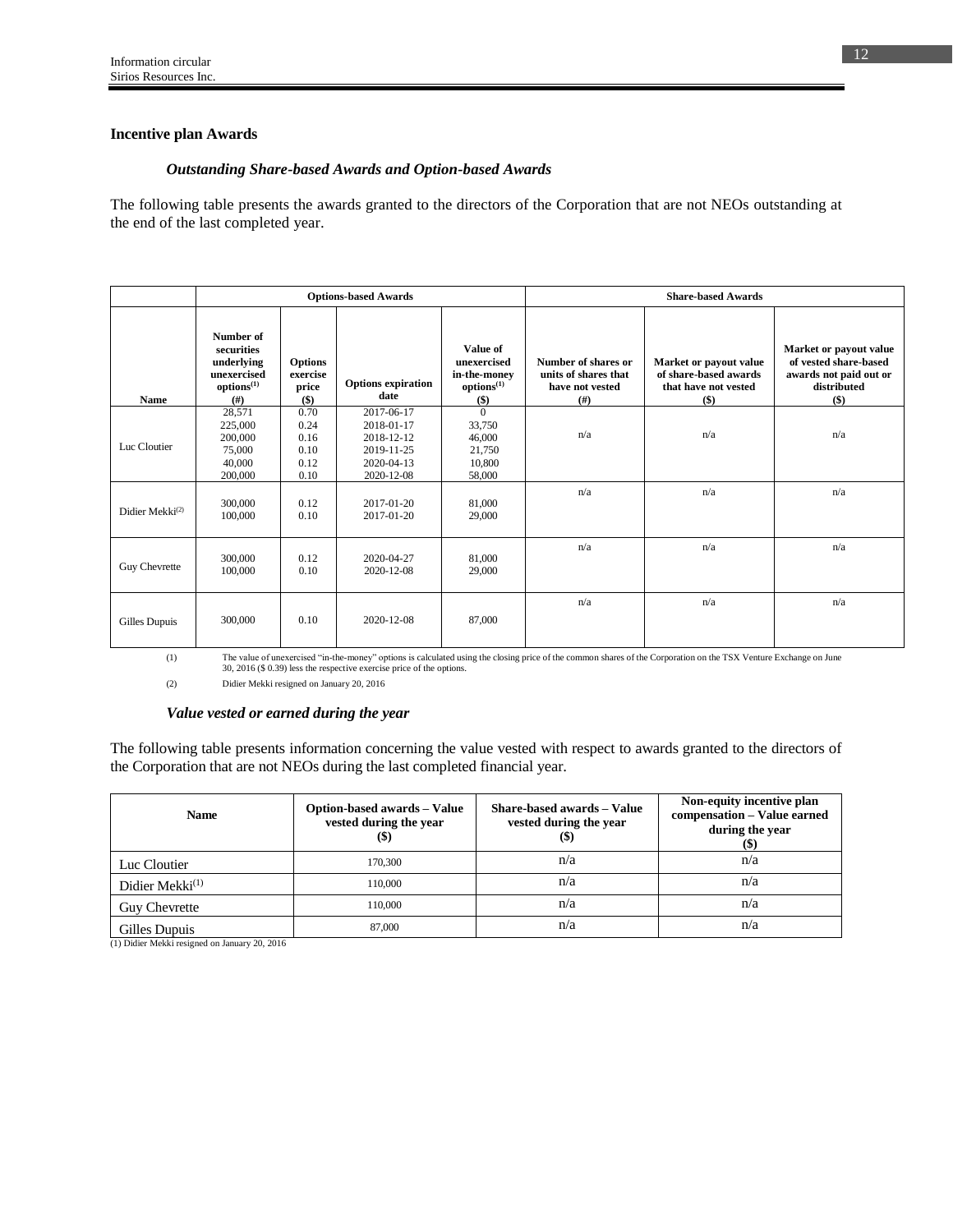### **Incentive plan Awards**

### *Outstanding Share-based Awards and Option-based Awards*

The following table presents the awards granted to the directors of the Corporation that are not NEOs outstanding at the end of the last completed year.

|                             |                                                                                        |                                              | <b>Options-based Awards</b>                                                      |                                                                            | <b>Share-based Awards</b>                                                           |                                                                                  |                                                                                                   |
|-----------------------------|----------------------------------------------------------------------------------------|----------------------------------------------|----------------------------------------------------------------------------------|----------------------------------------------------------------------------|-------------------------------------------------------------------------------------|----------------------------------------------------------------------------------|---------------------------------------------------------------------------------------------------|
| <b>Name</b>                 | Number of<br>securities<br>underlying<br>unexercised<br>options <sup>(1)</sup><br>(# ) | <b>Options</b><br>exercise<br>price<br>$($)$ | <b>Options expiration</b><br>date                                                | Value of<br>unexercised<br>in-the-money<br>options <sup>(1)</sup><br>$($)$ | Number of shares or<br>units of shares that<br>have not vested<br>(# <sup>2</sup> ) | Market or payout value<br>of share-based awards<br>that have not vested<br>$($)$ | Market or payout value<br>of vested share-based<br>awards not paid out or<br>distributed<br>$($)$ |
| Luc Cloutier                | 28,571<br>225,000<br>200,000<br>75,000<br>40,000<br>200,000                            | 0.70<br>0.24<br>0.16<br>0.10<br>0.12<br>0.10 | 2017-06-17<br>2018-01-17<br>2018-12-12<br>2019-11-25<br>2020-04-13<br>2020-12-08 | $\Omega$<br>33,750<br>46,000<br>21,750<br>10,800<br>58,000                 | n/a                                                                                 | n/a                                                                              | n/a                                                                                               |
| Didier Mekki <sup>(2)</sup> | 300,000<br>100,000                                                                     | 0.12<br>0.10                                 | $2017 - 01 - 20$<br>2017-01-20                                                   | 81,000<br>29,000                                                           | n/a                                                                                 | n/a                                                                              | n/a                                                                                               |
| Guy Chevrette               | 300,000<br>100,000                                                                     | 0.12<br>0.10                                 | 2020-04-27<br>2020-12-08                                                         | 81,000<br>29,000                                                           | n/a                                                                                 | n/a                                                                              | n/a                                                                                               |
| Gilles Dupuis               | 300,000                                                                                | 0.10                                         | 2020-12-08                                                                       | 87,000                                                                     | n/a                                                                                 | n/a                                                                              | n/a                                                                                               |

(1) The value of unexercised "in-the-money" options is calculated using the closing price of the common shares of the Corporation on the TSX Venture Exchange on June 30, 2016 (\$ 0.39) less the respective exercise price of the options.

(2) Didier Mekki resigned on January 20, 2016

#### *Value vested or earned during the year*

The following table presents information concerning the value vested with respect to awards granted to the directors of the Corporation that are not NEOs during the last completed financial year.

| <b>Name</b>                 | Option-based awards - Value<br>vested during the year<br>(\$) | Share-based awards - Value<br>vested during the year<br>$\left( \mathbb{S}\right)$ | Non-equity incentive plan<br>compensation - Value earned<br>during the year |
|-----------------------------|---------------------------------------------------------------|------------------------------------------------------------------------------------|-----------------------------------------------------------------------------|
| Luc Cloutier                | 170,300                                                       | n/a                                                                                | n/a                                                                         |
| Didier Mekki <sup>(1)</sup> | 110,000                                                       | n/a                                                                                | n/a                                                                         |
| <b>Guy Chevrette</b>        | 110,000                                                       | n/a                                                                                | n/a                                                                         |
| Gilles Dupuis               | 87,000                                                        | n/a                                                                                | n/a                                                                         |

(1) Didier Mekki resigned on January 20, 2016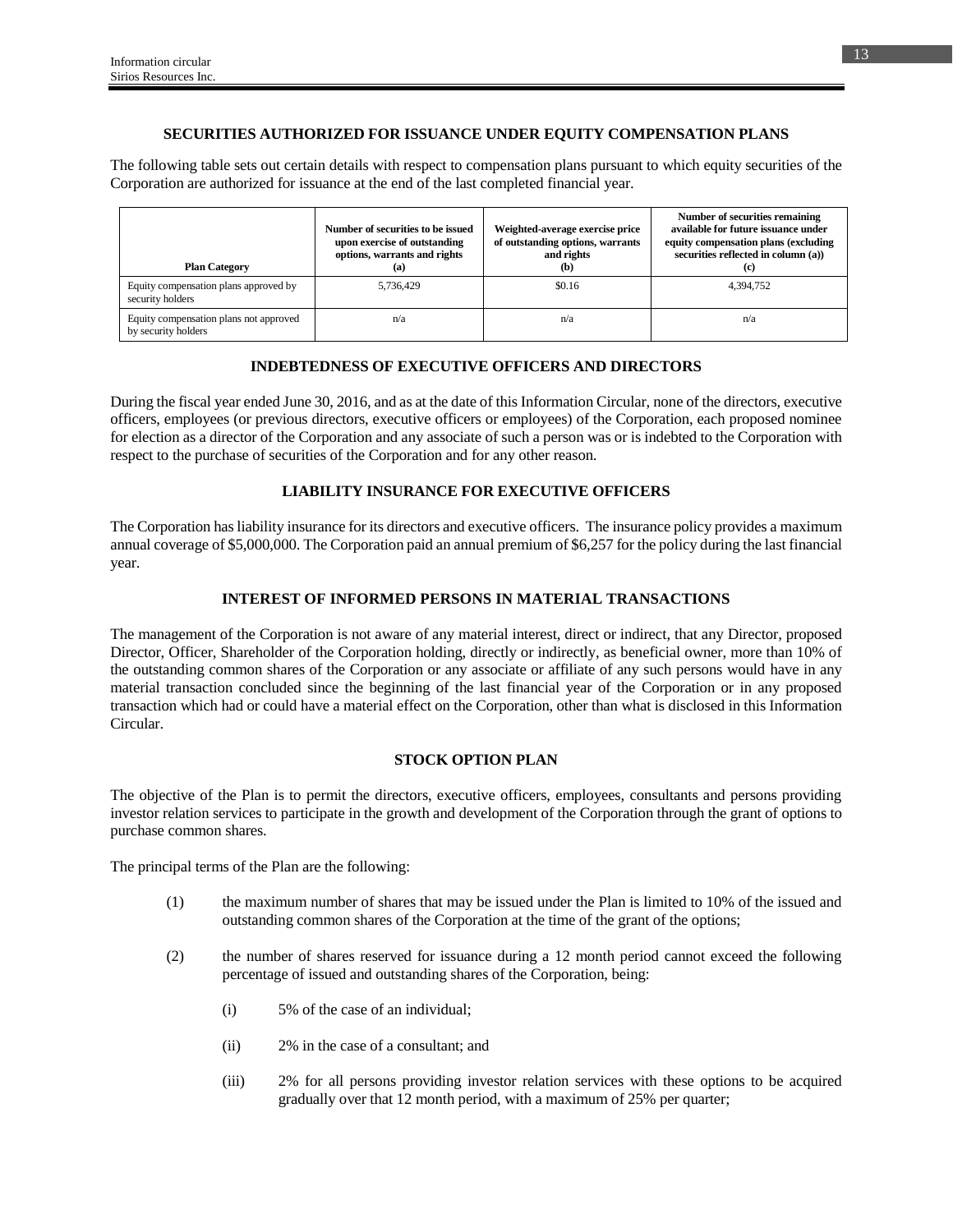## **SECURITIES AUTHORIZED FOR ISSUANCE UNDER EQUITY COMPENSATION PLANS**

The following table sets out certain details with respect to compensation plans pursuant to which equity securities of the Corporation are authorized for issuance at the end of the last completed financial year.

| <b>Plan Category</b>                                          | Number of securities to be issued<br>upon exercise of outstanding<br>options, warrants and rights<br>(a) | Weighted-average exercise price<br>of outstanding options, warrants<br>and rights<br>(b) | Number of securities remaining<br>available for future issuance under<br>equity compensation plans (excluding<br>securities reflected in column (a))<br>(c) |
|---------------------------------------------------------------|----------------------------------------------------------------------------------------------------------|------------------------------------------------------------------------------------------|-------------------------------------------------------------------------------------------------------------------------------------------------------------|
| Equity compensation plans approved by<br>security holders     | 5,736,429                                                                                                | \$0.16                                                                                   | 4,394,752                                                                                                                                                   |
| Equity compensation plans not approved<br>by security holders | n/a                                                                                                      | n/a                                                                                      | n/a                                                                                                                                                         |

## **INDEBTEDNESS OF EXECUTIVE OFFICERS AND DIRECTORS**

During the fiscal year ended June 30, 2016, and as at the date of this Information Circular, none of the directors, executive officers, employees (or previous directors, executive officers or employees) of the Corporation, each proposed nominee for election as a director of the Corporation and any associate of such a person was or is indebted to the Corporation with respect to the purchase of securities of the Corporation and for any other reason.

## **LIABILITY INSURANCE FOR EXECUTIVE OFFICERS**

The Corporation has liability insurance for its directors and executive officers. The insurance policy provides a maximum annual coverage of \$5,000,000. The Corporation paid an annual premium of \$6,257 for the policy during the last financial year.

## **INTEREST OF INFORMED PERSONS IN MATERIAL TRANSACTIONS**

The management of the Corporation is not aware of any material interest, direct or indirect, that any Director, proposed Director, Officer, Shareholder of the Corporation holding, directly or indirectly, as beneficial owner, more than 10% of the outstanding common shares of the Corporation or any associate or affiliate of any such persons would have in any material transaction concluded since the beginning of the last financial year of the Corporation or in any proposed transaction which had or could have a material effect on the Corporation, other than what is disclosed in this Information Circular.

## **STOCK OPTION PLAN**

The objective of the Plan is to permit the directors, executive officers, employees, consultants and persons providing investor relation services to participate in the growth and development of the Corporation through the grant of options to purchase common shares.

The principal terms of the Plan are the following:

- (1) the maximum number of shares that may be issued under the Plan is limited to 10% of the issued and outstanding common shares of the Corporation at the time of the grant of the options;
- (2) the number of shares reserved for issuance during a 12 month period cannot exceed the following percentage of issued and outstanding shares of the Corporation, being:
	- (i) 5% of the case of an individual;
	- (ii) 2% in the case of a consultant; and
	- (iii) 2% for all persons providing investor relation services with these options to be acquired gradually over that 12 month period, with a maximum of 25% per quarter;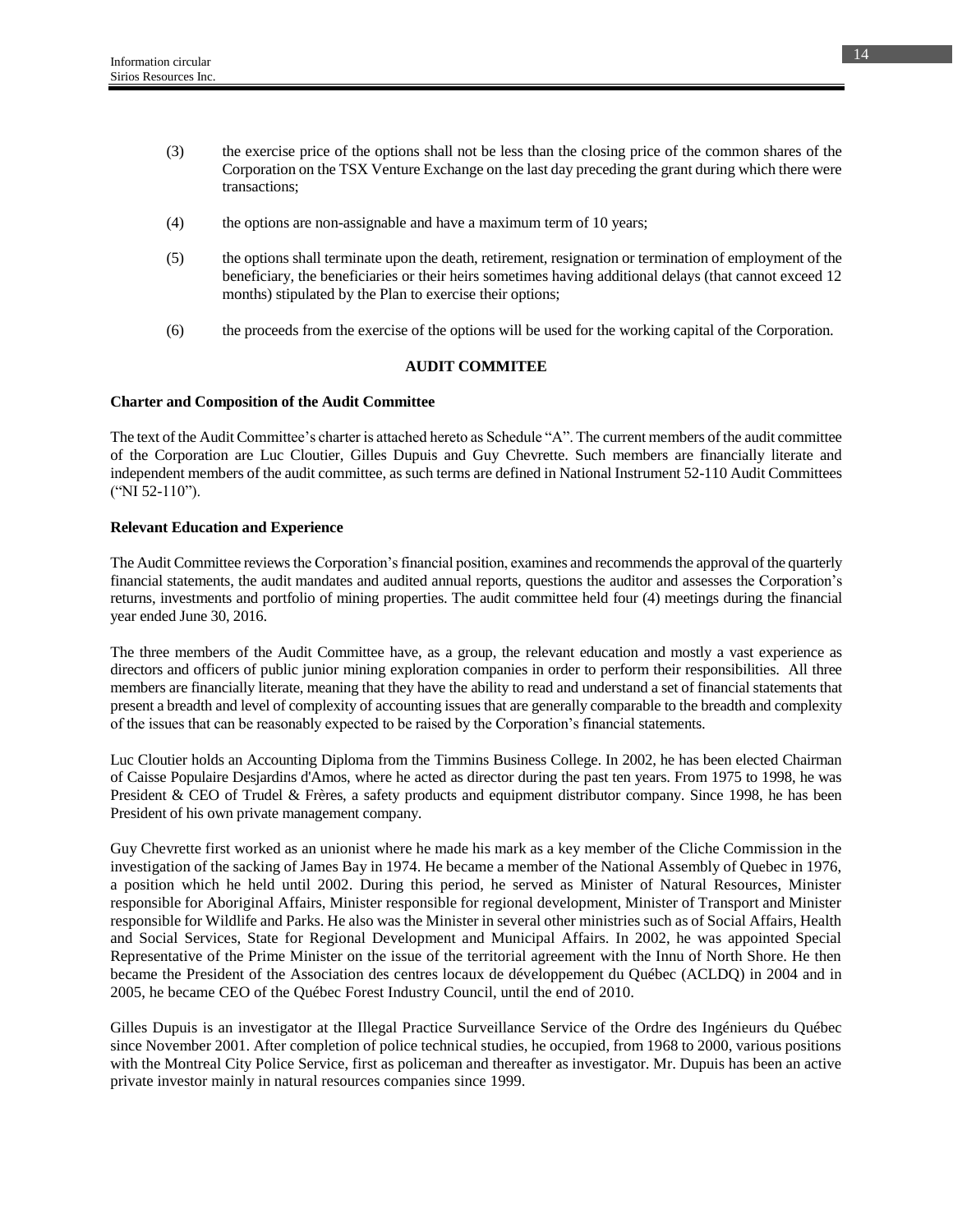- (3) the exercise price of the options shall not be less than the closing price of the common shares of the Corporation on the TSX Venture Exchange on the last day preceding the grant during which there were transactions;
- (4) the options are non-assignable and have a maximum term of 10 years;
- (5) the options shall terminate upon the death, retirement, resignation or termination of employment of the beneficiary, the beneficiaries or their heirs sometimes having additional delays (that cannot exceed 12 months) stipulated by the Plan to exercise their options;
- (6) the proceeds from the exercise of the options will be used for the working capital of the Corporation.

### **AUDIT COMMITEE**

### **Charter and Composition of the Audit Committee**

The text of the Audit Committee's charter is attached hereto as Schedule "A". The current members of the audit committee of the Corporation are Luc Cloutier, Gilles Dupuis and Guy Chevrette. Such members are financially literate and independent members of the audit committee, as such terms are defined in National Instrument 52-110 Audit Committees ("NI 52-110").

## **Relevant Education and Experience**

The Audit Committee reviews the Corporation's financial position, examines and recommends the approval of the quarterly financial statements, the audit mandates and audited annual reports, questions the auditor and assesses the Corporation's returns, investments and portfolio of mining properties. The audit committee held four (4) meetings during the financial year ended June 30, 2016.

The three members of the Audit Committee have, as a group, the relevant education and mostly a vast experience as directors and officers of public junior mining exploration companies in order to perform their responsibilities. All three members are financially literate, meaning that they have the ability to read and understand a set of financial statements that present a breadth and level of complexity of accounting issues that are generally comparable to the breadth and complexity of the issues that can be reasonably expected to be raised by the Corporation's financial statements.

Luc Cloutier holds an Accounting Diploma from the Timmins Business College. In 2002, he has been elected Chairman of Caisse Populaire Desjardins d'Amos, where he acted as director during the past ten years. From 1975 to 1998, he was President & CEO of Trudel & Frères, a safety products and equipment distributor company. Since 1998, he has been President of his own private management company.

Guy Chevrette first worked as an unionist where he made his mark as a key member of the Cliche Commission in the investigation of the sacking of James Bay in 1974. He became a member of the National Assembly of Quebec in 1976, a position which he held until 2002. During this period, he served as Minister of Natural Resources, Minister responsible for Aboriginal Affairs, Minister responsible for regional development, Minister of Transport and Minister responsible for Wildlife and Parks. He also was the Minister in several other ministries such as of Social Affairs, Health and Social Services, State for Regional Development and Municipal Affairs. In 2002, he was appointed Special Representative of the Prime Minister on the issue of the territorial agreement with the Innu of North Shore. He then became the President of the Association des centres locaux de développement du Québec (ACLDQ) in 2004 and in 2005, he became CEO of the Québec Forest Industry Council, until the end of 2010.

Gilles Dupuis is an investigator at the Illegal Practice Surveillance Service of the Ordre des Ingénieurs du Québec since November 2001. After completion of police technical studies, he occupied, from 1968 to 2000, various positions with the Montreal City Police Service, first as policeman and thereafter as investigator. Mr. Dupuis has been an active private investor mainly in natural resources companies since 1999.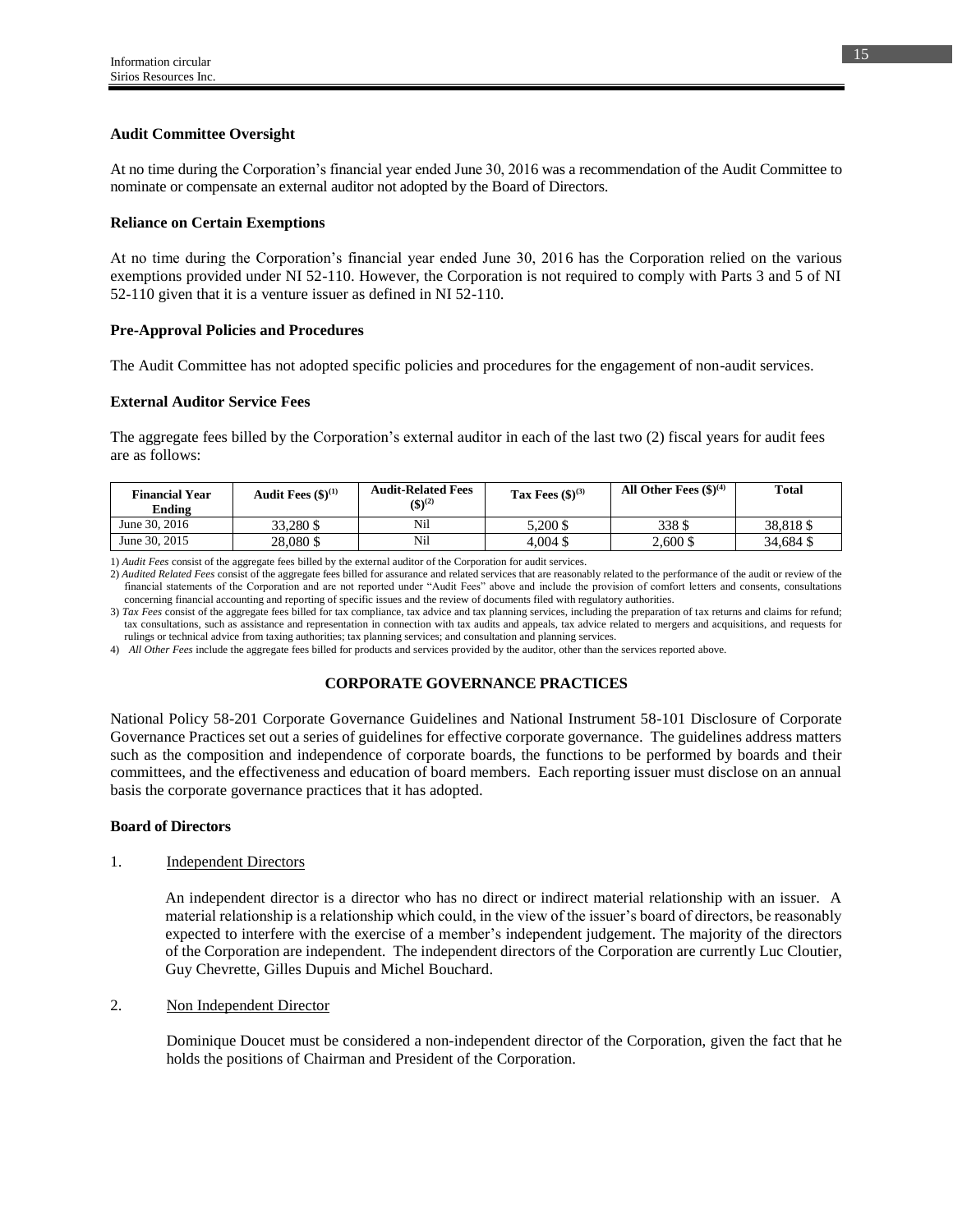## **Audit Committee Oversight**

At no time during the Corporation's financial year ended June 30, 2016 was a recommendation of the Audit Committee to nominate or compensate an external auditor not adopted by the Board of Directors.

### **Reliance on Certain Exemptions**

At no time during the Corporation's financial year ended June 30, 2016 has the Corporation relied on the various exemptions provided under NI 52-110. However, the Corporation is not required to comply with Parts 3 and 5 of NI 52-110 given that it is a venture issuer as defined in NI 52-110.

### **Pre-Approval Policies and Procedures**

The Audit Committee has not adopted specific policies and procedures for the engagement of non-audit services.

### **External Auditor Service Fees**

The aggregate fees billed by the Corporation's external auditor in each of the last two (2) fiscal years for audit fees are as follows:

| <b>Financial Year</b><br>Ending | Audit Fees $(\$)^{(1)}$ | <b>Audit-Related Fees</b><br>$(5)^{(2)}$ | Tax Fees $(\$)^{(3)}$ | All Other Fees $(\$)^{(4)}$ | <b>Total</b> |
|---------------------------------|-------------------------|------------------------------------------|-----------------------|-----------------------------|--------------|
| June 30, 2016                   | 33.280 \$               | Nil                                      | 5.200 \$              | 338\$                       | 38.818\$     |
| June 30, 2015                   | 28,080 \$               | Nil                                      | $4,004$ \$            | 2.600 \$                    | 34,684 \$    |

1) *Audit Fees* consist of the aggregate fees billed by the external auditor of the Corporation for audit services.

2) *Audited Related Fees* consist of the aggregate fees billed for assurance and related services that are reasonably related to the performance of the audit or review of the financial statements of the Corporation and are not reported under "Audit Fees" above and include the provision of comfort letters and consents, consultations concerning financial accounting and reporting of specific issues and the review of documents filed with regulatory authorities.

3) *Tax Fees* consist of the aggregate fees billed for tax compliance, tax advice and tax planning services, including the preparation of tax returns and claims for refund; tax consultations, such as assistance and representation in connection with tax audits and appeals, tax advice related to mergers and acquisitions, and requests for rulings or technical advice from taxing authorities; tax planning services; and consultation and planning services.

4) *All Other Fees* include the aggregate fees billed for products and services provided by the auditor, other than the services reported above.

## **CORPORATE GOVERNANCE PRACTICES**

National Policy 58-201 Corporate Governance Guidelines and National Instrument 58-101 Disclosure of Corporate Governance Practices set out a series of guidelines for effective corporate governance. The guidelines address matters such as the composition and independence of corporate boards, the functions to be performed by boards and their committees, and the effectiveness and education of board members. Each reporting issuer must disclose on an annual basis the corporate governance practices that it has adopted.

#### **Board of Directors**

#### 1. Independent Directors

An independent director is a director who has no direct or indirect material relationship with an issuer. A material relationship is a relationship which could, in the view of the issuer's board of directors, be reasonably expected to interfere with the exercise of a member's independent judgement. The majority of the directors of the Corporation are independent. The independent directors of the Corporation are currently Luc Cloutier, Guy Chevrette, Gilles Dupuis and Michel Bouchard.

2. Non Independent Director

Dominique Doucet must be considered a non-independent director of the Corporation, given the fact that he holds the positions of Chairman and President of the Corporation.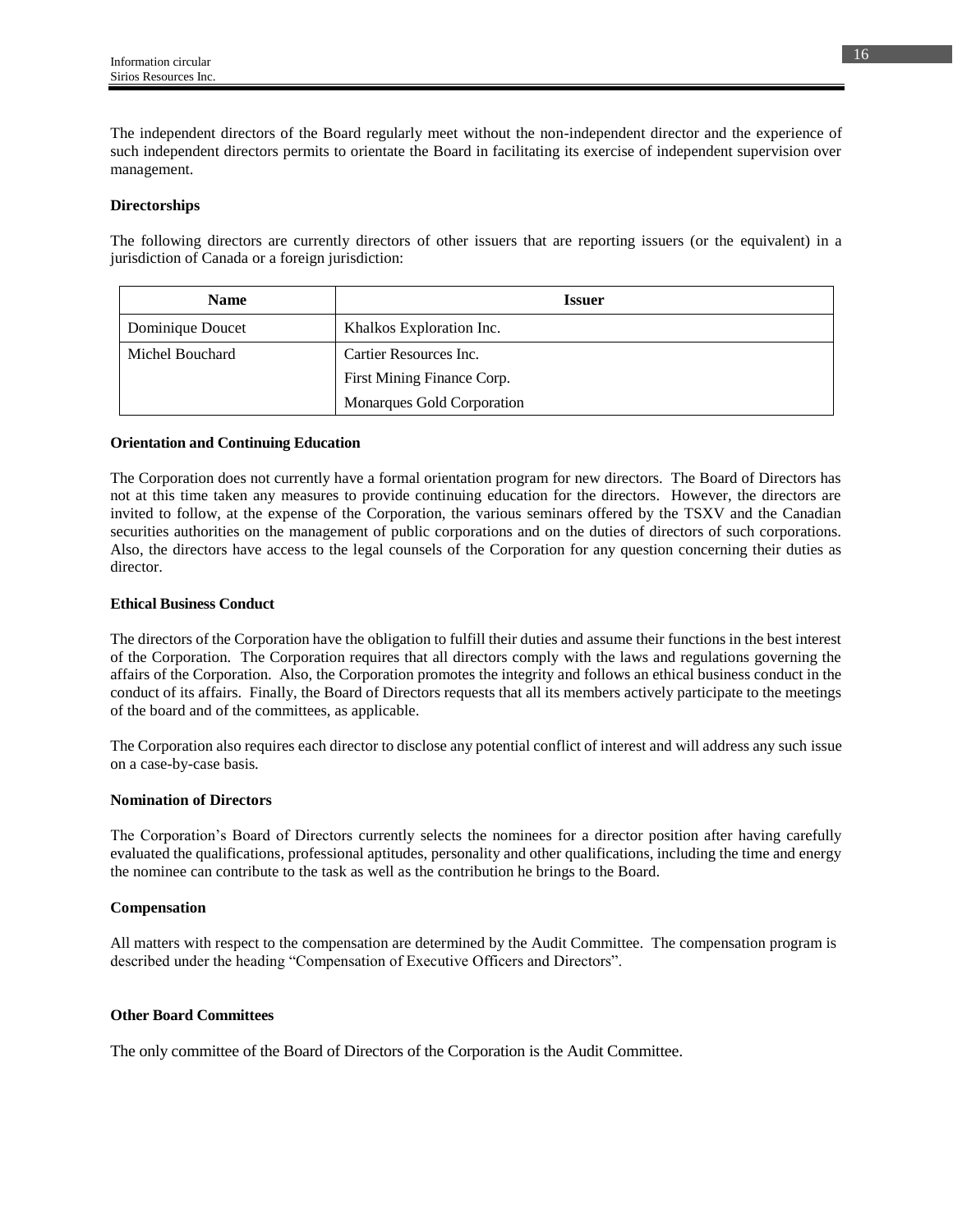The independent directors of the Board regularly meet without the non-independent director and the experience of such independent directors permits to orientate the Board in facilitating its exercise of independent supervision over management.

## **Directorships**

The following directors are currently directors of other issuers that are reporting issuers (or the equivalent) in a jurisdiction of Canada or a foreign jurisdiction:

| <b>Name</b>      | <b>Issuer</b>              |
|------------------|----------------------------|
| Dominique Doucet | Khalkos Exploration Inc.   |
| Michel Bouchard  | Cartier Resources Inc.     |
|                  | First Mining Finance Corp. |
|                  | Monarques Gold Corporation |

#### **Orientation and Continuing Education**

The Corporation does not currently have a formal orientation program for new directors. The Board of Directors has not at this time taken any measures to provide continuing education for the directors. However, the directors are invited to follow, at the expense of the Corporation, the various seminars offered by the TSXV and the Canadian securities authorities on the management of public corporations and on the duties of directors of such corporations. Also, the directors have access to the legal counsels of the Corporation for any question concerning their duties as director.

### **Ethical Business Conduct**

The directors of the Corporation have the obligation to fulfill their duties and assume their functions in the best interest of the Corporation. The Corporation requires that all directors comply with the laws and regulations governing the affairs of the Corporation. Also, the Corporation promotes the integrity and follows an ethical business conduct in the conduct of its affairs. Finally, the Board of Directors requests that all its members actively participate to the meetings of the board and of the committees, as applicable.

The Corporation also requires each director to disclose any potential conflict of interest and will address any such issue on a case-by-case basis.

#### **Nomination of Directors**

The Corporation's Board of Directors currently selects the nominees for a director position after having carefully evaluated the qualifications, professional aptitudes, personality and other qualifications, including the time and energy the nominee can contribute to the task as well as the contribution he brings to the Board.

## **Compensation**

All matters with respect to the compensation are determined by the Audit Committee. The compensation program is described under the heading "Compensation of Executive Officers and Directors".

#### **Other Board Committees**

The only committee of the Board of Directors of the Corporation is the Audit Committee.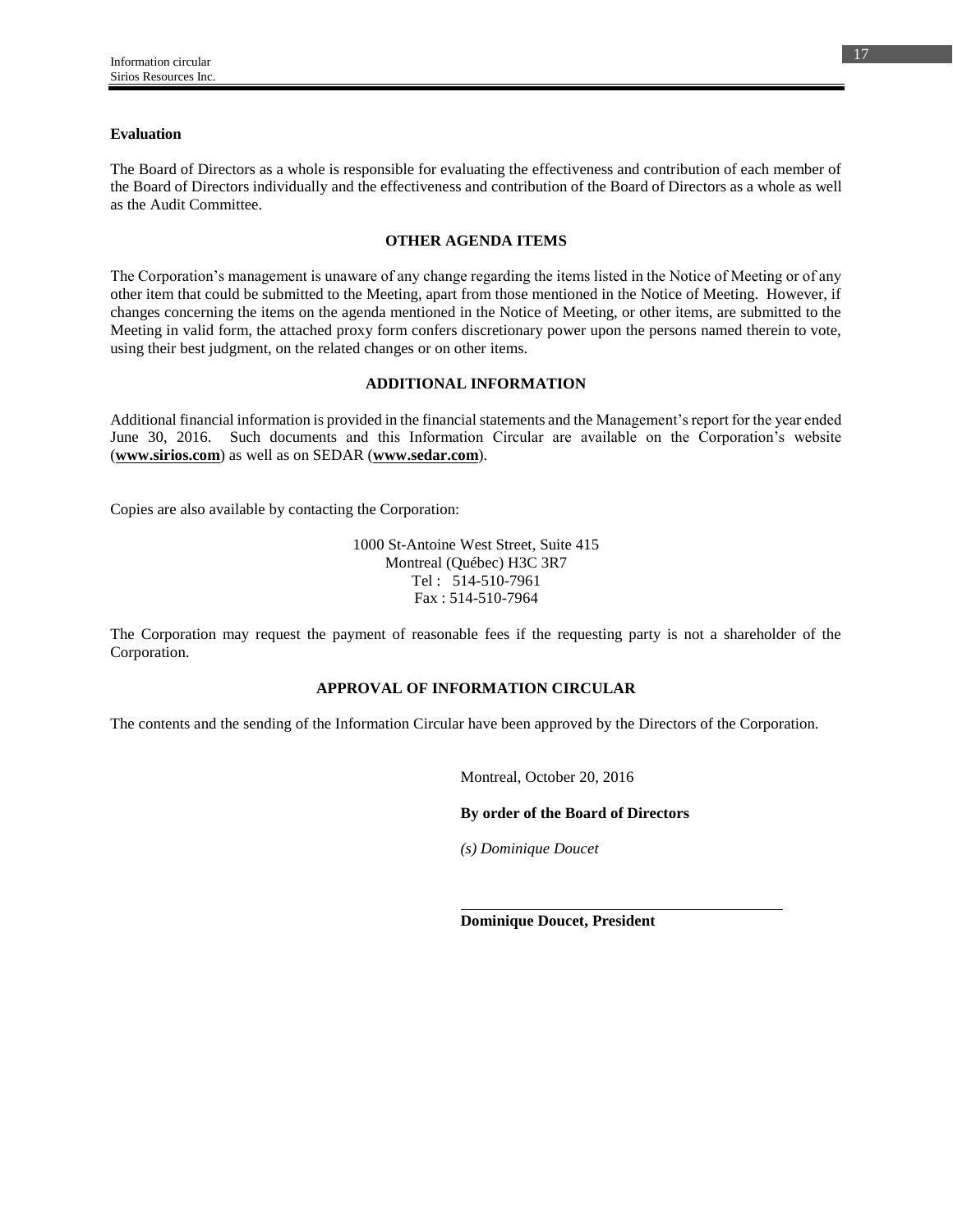### **Evaluation**

The Board of Directors as a whole is responsible for evaluating the effectiveness and contribution of each member of the Board of Directors individually and the effectiveness and contribution of the Board of Directors as a whole as well as the Audit Committee.

### **OTHER AGENDA ITEMS**

The Corporation's management is unaware of any change regarding the items listed in the Notice of Meeting or of any other item that could be submitted to the Meeting, apart from those mentioned in the Notice of Meeting. However, if changes concerning the items on the agenda mentioned in the Notice of Meeting, or other items, are submitted to the Meeting in valid form, the attached proxy form confers discretionary power upon the persons named therein to vote, using their best judgment, on the related changes or on other items.

## **ADDITIONAL INFORMATION**

Additional financial information is provided in the financial statements and the Management's report for the year ended June 30, 2016. Such documents and this Information Circular are available on the Corporation's website (**www.sirios.com**) as well as on SEDAR (**www.sedar.com**).

Copies are also available by contacting the Corporation:

1000 St-Antoine West Street, Suite 415 Montreal (Québec) H3C 3R7 Tel : 514-510-7961 Fax : 514-510-7964

The Corporation may request the payment of reasonable fees if the requesting party is not a shareholder of the Corporation.

## **APPROVAL OF INFORMATION CIRCULAR**

The contents and the sending of the Information Circular have been approved by the Directors of the Corporation.

Montreal, October 20, 2016

**By order of the Board of Directors**

*(s) Dominique Doucet*

**Dominique Doucet, President**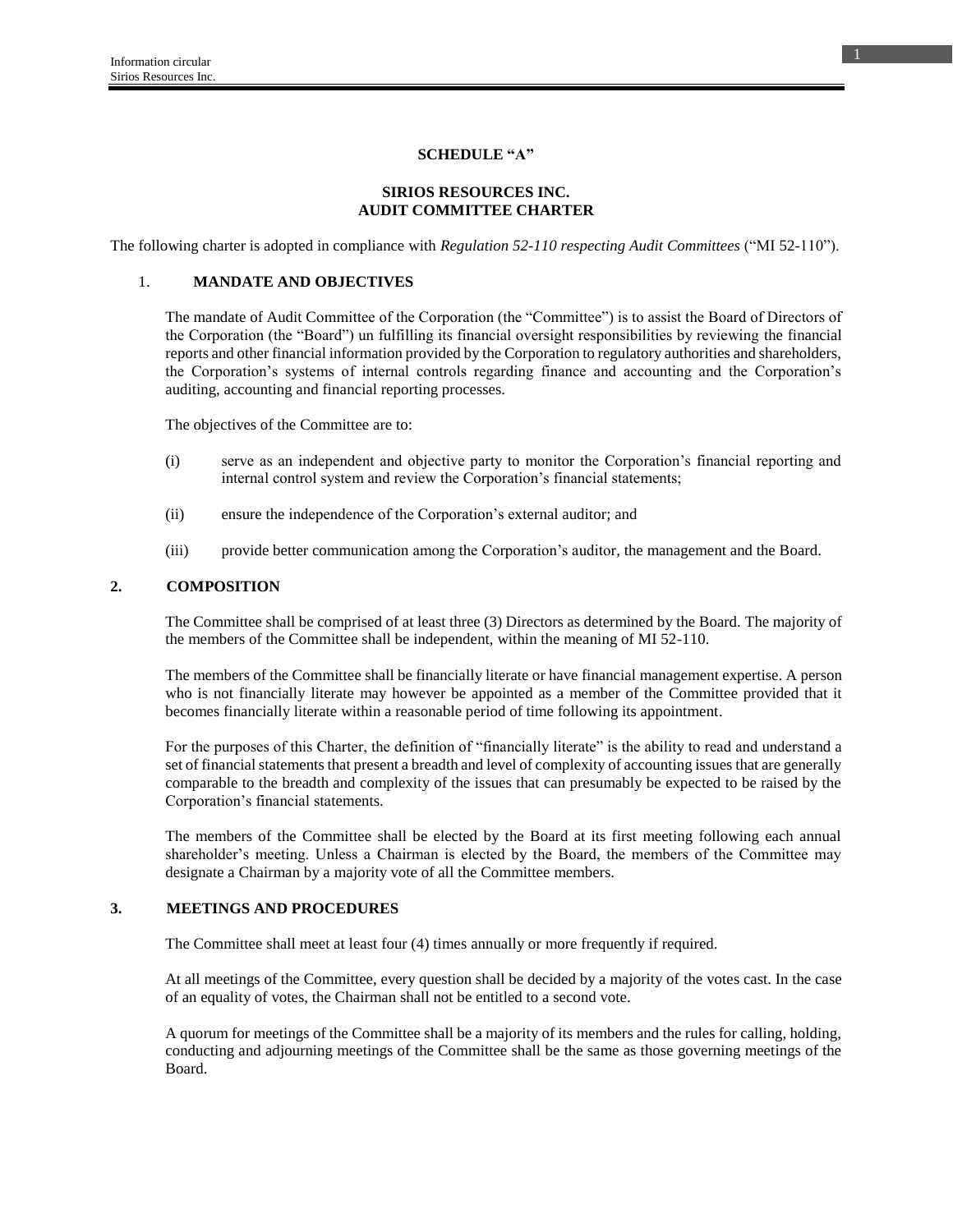### **SCHEDULE "A"**

## **SIRIOS RESOURCES INC. AUDIT COMMITTEE CHARTER**

The following charter is adopted in compliance with *Regulation 52-110 respecting Audit Committees* ("MI 52-110").

## 1. **MANDATE AND OBJECTIVES**

The mandate of Audit Committee of the Corporation (the "Committee") is to assist the Board of Directors of the Corporation (the "Board") un fulfilling its financial oversight responsibilities by reviewing the financial reports and other financial information provided by the Corporation to regulatory authorities and shareholders, the Corporation's systems of internal controls regarding finance and accounting and the Corporation's auditing, accounting and financial reporting processes.

The objectives of the Committee are to:

- (i) serve as an independent and objective party to monitor the Corporation's financial reporting and internal control system and review the Corporation's financial statements;
- (ii) ensure the independence of the Corporation's external auditor; and
- (iii) provide better communication among the Corporation's auditor, the management and the Board.

### **2. COMPOSITION**

The Committee shall be comprised of at least three (3) Directors as determined by the Board. The majority of the members of the Committee shall be independent, within the meaning of MI 52-110.

The members of the Committee shall be financially literate or have financial management expertise. A person who is not financially literate may however be appointed as a member of the Committee provided that it becomes financially literate within a reasonable period of time following its appointment.

For the purposes of this Charter, the definition of "financially literate" is the ability to read and understand a set of financial statements that present a breadth and level of complexity of accounting issues that are generally comparable to the breadth and complexity of the issues that can presumably be expected to be raised by the Corporation's financial statements.

The members of the Committee shall be elected by the Board at its first meeting following each annual shareholder's meeting. Unless a Chairman is elected by the Board, the members of the Committee may designate a Chairman by a majority vote of all the Committee members.

## **3. MEETINGS AND PROCEDURES**

The Committee shall meet at least four (4) times annually or more frequently if required.

At all meetings of the Committee, every question shall be decided by a majority of the votes cast. In the case of an equality of votes, the Chairman shall not be entitled to a second vote.

A quorum for meetings of the Committee shall be a majority of its members and the rules for calling, holding, conducting and adjourning meetings of the Committee shall be the same as those governing meetings of the Board.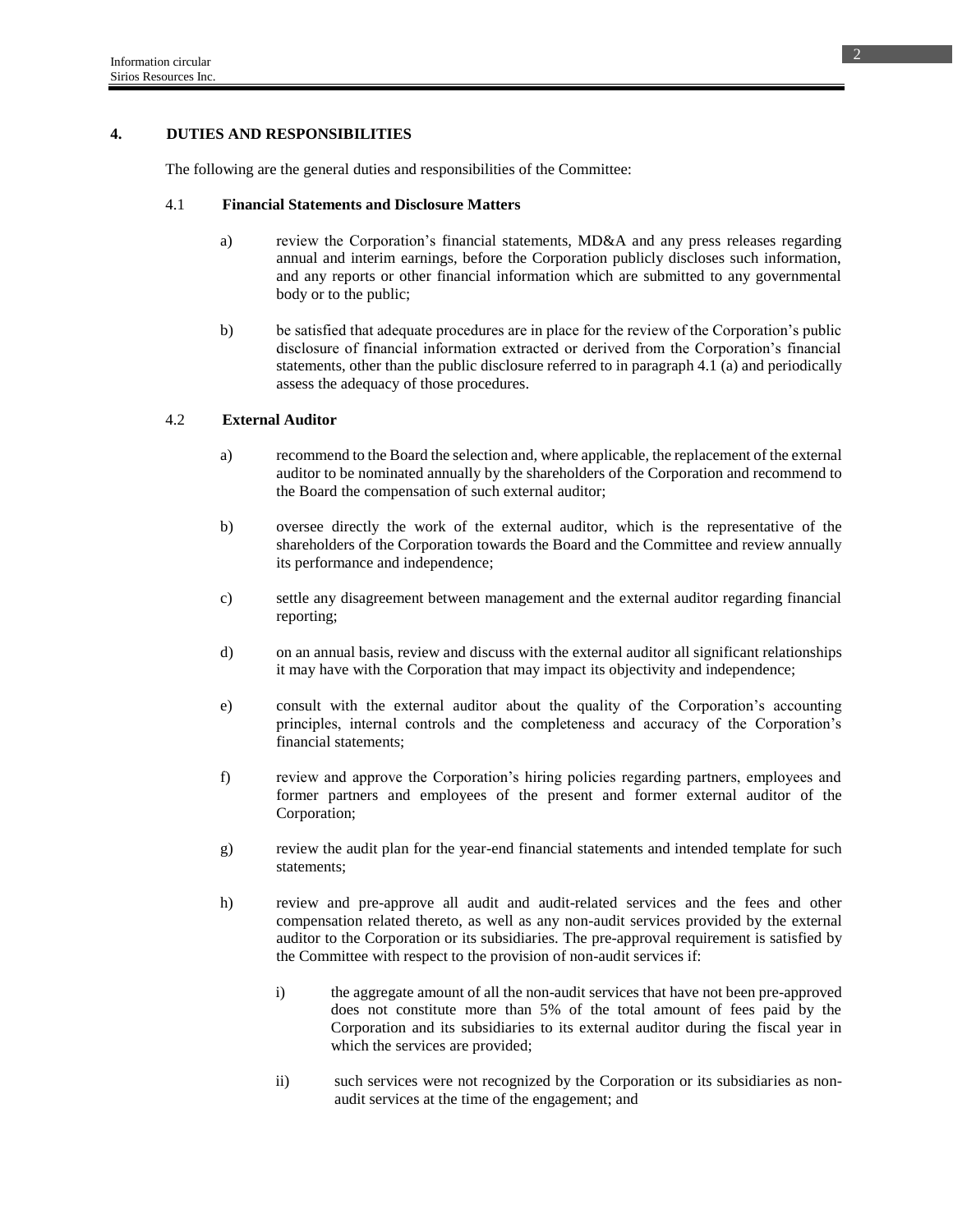## **4. DUTIES AND RESPONSIBILITIES**

The following are the general duties and responsibilities of the Committee:

### 4.1 **Financial Statements and Disclosure Matters**

- a) review the Corporation's financial statements, MD&A and any press releases regarding annual and interim earnings, before the Corporation publicly discloses such information, and any reports or other financial information which are submitted to any governmental body or to the public;
- b) be satisfied that adequate procedures are in place for the review of the Corporation's public disclosure of financial information extracted or derived from the Corporation's financial statements, other than the public disclosure referred to in paragraph 4.1 (a) and periodically assess the adequacy of those procedures.

## 4.2 **External Auditor**

- a) recommend to the Board the selection and, where applicable, the replacement of the external auditor to be nominated annually by the shareholders of the Corporation and recommend to the Board the compensation of such external auditor;
- b) oversee directly the work of the external auditor, which is the representative of the shareholders of the Corporation towards the Board and the Committee and review annually its performance and independence;
- c) settle any disagreement between management and the external auditor regarding financial reporting;
- d) on an annual basis, review and discuss with the external auditor all significant relationships it may have with the Corporation that may impact its objectivity and independence;
- e) consult with the external auditor about the quality of the Corporation's accounting principles, internal controls and the completeness and accuracy of the Corporation's financial statements;
- f) review and approve the Corporation's hiring policies regarding partners, employees and former partners and employees of the present and former external auditor of the Corporation;
- g) review the audit plan for the year-end financial statements and intended template for such statements;
- h) review and pre-approve all audit and audit-related services and the fees and other compensation related thereto, as well as any non-audit services provided by the external auditor to the Corporation or its subsidiaries. The pre-approval requirement is satisfied by the Committee with respect to the provision of non-audit services if:
	- i) the aggregate amount of all the non-audit services that have not been pre-approved does not constitute more than 5% of the total amount of fees paid by the Corporation and its subsidiaries to its external auditor during the fiscal year in which the services are provided;
	- ii) such services were not recognized by the Corporation or its subsidiaries as nonaudit services at the time of the engagement; and